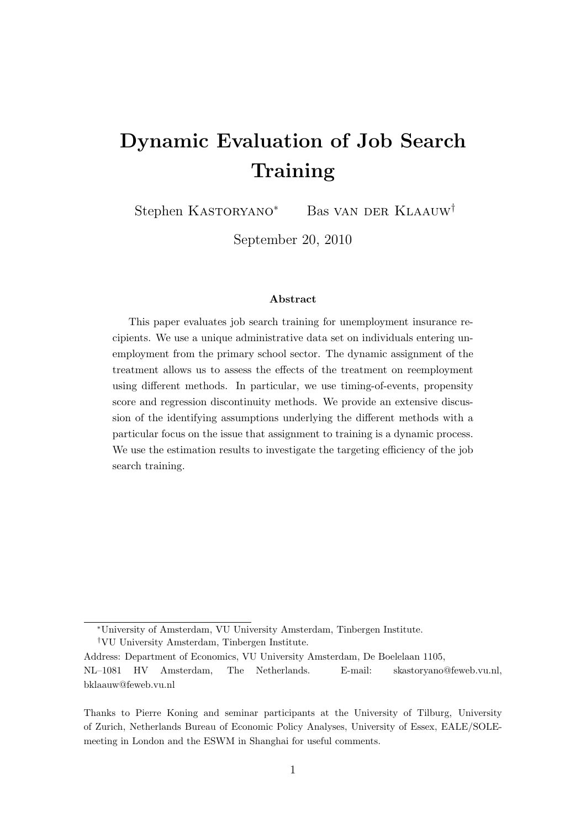# Dynamic Evaluation of Job Search **Training**

Stephen Kastoryano<sup>∗</sup> Bas van der Klaauw†

September 20, 2010

#### Abstract

This paper evaluates job search training for unemployment insurance recipients. We use a unique administrative data set on individuals entering unemployment from the primary school sector. The dynamic assignment of the treatment allows us to assess the effects of the treatment on reemployment using different methods. In particular, we use timing-of-events, propensity score and regression discontinuity methods. We provide an extensive discussion of the identifying assumptions underlying the different methods with a particular focus on the issue that assignment to training is a dynamic process. We use the estimation results to investigate the targeting efficiency of the job search training.

<sup>∗</sup>University of Amsterdam, VU University Amsterdam, Tinbergen Institute.

<sup>†</sup>VU University Amsterdam, Tinbergen Institute.

Address: Department of Economics, VU University Amsterdam, De Boelelaan 1105, NL–1081 HV Amsterdam, The Netherlands. E-mail: skastoryano@feweb.vu.nl, bklaauw@feweb.vu.nl

Thanks to Pierre Koning and seminar participants at the University of Tilburg, University of Zurich, Netherlands Bureau of Economic Policy Analyses, University of Essex, EALE/SOLEmeeting in London and the ESWM in Shanghai for useful comments.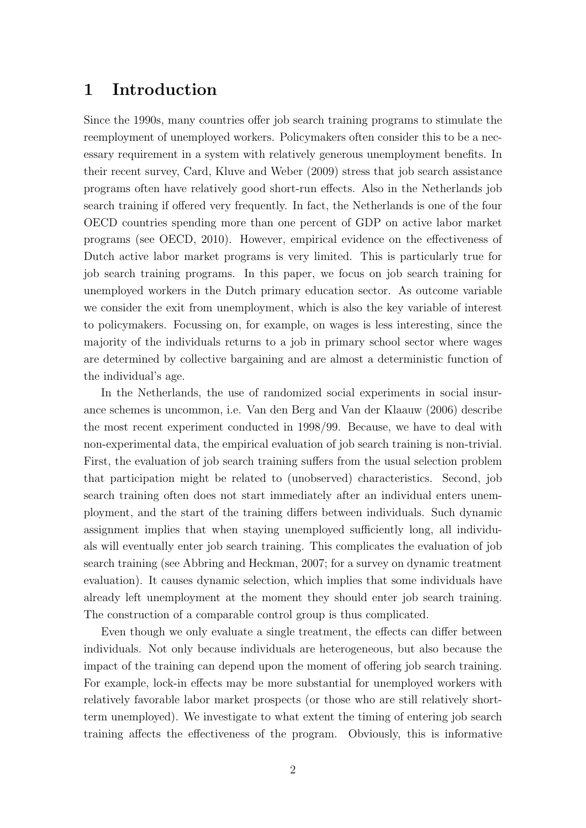### 1 Introduction

Since the 1990s, many countries offer job search training programs to stimulate the reemployment of unemployed workers. Policymakers often consider this to be a necessary requirement in a system with relatively generous unemployment benefits. In their recent survey, Card, Kluve and Weber (2009) stress that job search assistance programs often have relatively good short-run effects. Also in the Netherlands job search training if offered very frequently. In fact, the Netherlands is one of the four OECD countries spending more than one percent of GDP on active labor market programs (see OECD, 2010). However, empirical evidence on the effectiveness of Dutch active labor market programs is very limited. This is particularly true for job search training programs. In this paper, we focus on job search training for unemployed workers in the Dutch primary education sector. As outcome variable we consider the exit from unemployment, which is also the key variable of interest to policymakers. Focussing on, for example, on wages is less interesting, since the majority of the individuals returns to a job in primary school sector where wages are determined by collective bargaining and are almost a deterministic function of the individual's age.

In the Netherlands, the use of randomized social experiments in social insurance schemes is uncommon, i.e. Van den Berg and Van der Klaauw (2006) describe the most recent experiment conducted in 1998/99. Because, we have to deal with non-experimental data, the empirical evaluation of job search training is non-trivial. First, the evaluation of job search training suffers from the usual selection problem that participation might be related to (unobserved) characteristics. Second, job search training often does not start immediately after an individual enters unemployment, and the start of the training differs between individuals. Such dynamic assignment implies that when staying unemployed sufficiently long, all individuals will eventually enter job search training. This complicates the evaluation of job search training (see Abbring and Heckman, 2007; for a survey on dynamic treatment evaluation). It causes dynamic selection, which implies that some individuals have already left unemployment at the moment they should enter job search training. The construction of a comparable control group is thus complicated.

Even though we only evaluate a single treatment, the effects can differ between individuals. Not only because individuals are heterogeneous, but also because the impact of the training can depend upon the moment of offering job search training. For example, lock-in effects may be more substantial for unemployed workers with relatively favorable labor market prospects (or those who are still relatively shortterm unemployed). We investigate to what extent the timing of entering job search training affects the effectiveness of the program. Obviously, this is informative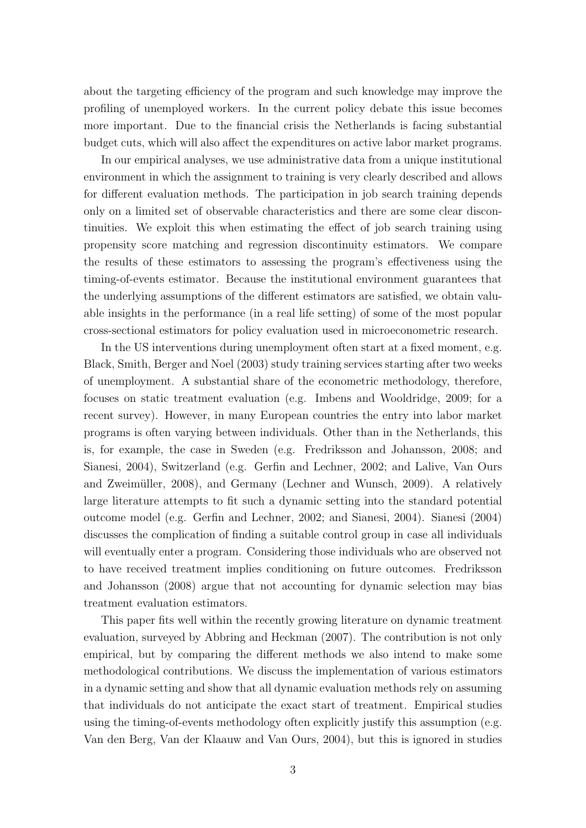about the targeting efficiency of the program and such knowledge may improve the profiling of unemployed workers. In the current policy debate this issue becomes more important. Due to the financial crisis the Netherlands is facing substantial budget cuts, which will also affect the expenditures on active labor market programs.

In our empirical analyses, we use administrative data from a unique institutional environment in which the assignment to training is very clearly described and allows for different evaluation methods. The participation in job search training depends only on a limited set of observable characteristics and there are some clear discontinuities. We exploit this when estimating the effect of job search training using propensity score matching and regression discontinuity estimators. We compare the results of these estimators to assessing the program's effectiveness using the timing-of-events estimator. Because the institutional environment guarantees that the underlying assumptions of the different estimators are satisfied, we obtain valuable insights in the performance (in a real life setting) of some of the most popular cross-sectional estimators for policy evaluation used in microeconometric research.

In the US interventions during unemployment often start at a fixed moment, e.g. Black, Smith, Berger and Noel (2003) study training services starting after two weeks of unemployment. A substantial share of the econometric methodology, therefore, focuses on static treatment evaluation (e.g. Imbens and Wooldridge, 2009; for a recent survey). However, in many European countries the entry into labor market programs is often varying between individuals. Other than in the Netherlands, this is, for example, the case in Sweden (e.g. Fredriksson and Johansson, 2008; and Sianesi, 2004), Switzerland (e.g. Gerfin and Lechner, 2002; and Lalive, Van Ours and Zweimüller, 2008), and Germany (Lechner and Wunsch, 2009). A relatively large literature attempts to fit such a dynamic setting into the standard potential outcome model (e.g. Gerfin and Lechner, 2002; and Sianesi, 2004). Sianesi (2004) discusses the complication of finding a suitable control group in case all individuals will eventually enter a program. Considering those individuals who are observed not to have received treatment implies conditioning on future outcomes. Fredriksson and Johansson (2008) argue that not accounting for dynamic selection may bias treatment evaluation estimators.

This paper fits well within the recently growing literature on dynamic treatment evaluation, surveyed by Abbring and Heckman (2007). The contribution is not only empirical, but by comparing the different methods we also intend to make some methodological contributions. We discuss the implementation of various estimators in a dynamic setting and show that all dynamic evaluation methods rely on assuming that individuals do not anticipate the exact start of treatment. Empirical studies using the timing-of-events methodology often explicitly justify this assumption (e.g. Van den Berg, Van der Klaauw and Van Ours, 2004), but this is ignored in studies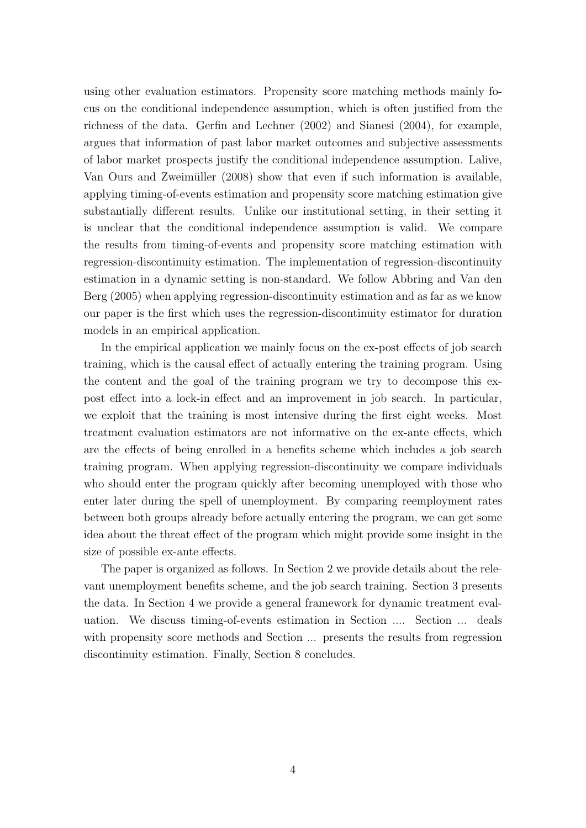using other evaluation estimators. Propensity score matching methods mainly focus on the conditional independence assumption, which is often justified from the richness of the data. Gerfin and Lechner (2002) and Sianesi (2004), for example, argues that information of past labor market outcomes and subjective assessments of labor market prospects justify the conditional independence assumption. Lalive, Van Ours and Zweimüller (2008) show that even if such information is available, applying timing-of-events estimation and propensity score matching estimation give substantially different results. Unlike our institutional setting, in their setting it is unclear that the conditional independence assumption is valid. We compare the results from timing-of-events and propensity score matching estimation with regression-discontinuity estimation. The implementation of regression-discontinuity estimation in a dynamic setting is non-standard. We follow Abbring and Van den Berg (2005) when applying regression-discontinuity estimation and as far as we know our paper is the first which uses the regression-discontinuity estimator for duration models in an empirical application.

In the empirical application we mainly focus on the ex-post effects of job search training, which is the causal effect of actually entering the training program. Using the content and the goal of the training program we try to decompose this expost effect into a lock-in effect and an improvement in job search. In particular, we exploit that the training is most intensive during the first eight weeks. Most treatment evaluation estimators are not informative on the ex-ante effects, which are the effects of being enrolled in a benefits scheme which includes a job search training program. When applying regression-discontinuity we compare individuals who should enter the program quickly after becoming unemployed with those who enter later during the spell of unemployment. By comparing reemployment rates between both groups already before actually entering the program, we can get some idea about the threat effect of the program which might provide some insight in the size of possible ex-ante effects.

The paper is organized as follows. In Section 2 we provide details about the relevant unemployment benefits scheme, and the job search training. Section 3 presents the data. In Section 4 we provide a general framework for dynamic treatment evaluation. We discuss timing-of-events estimation in Section .... Section ... deals with propensity score methods and Section ... presents the results from regression discontinuity estimation. Finally, Section 8 concludes.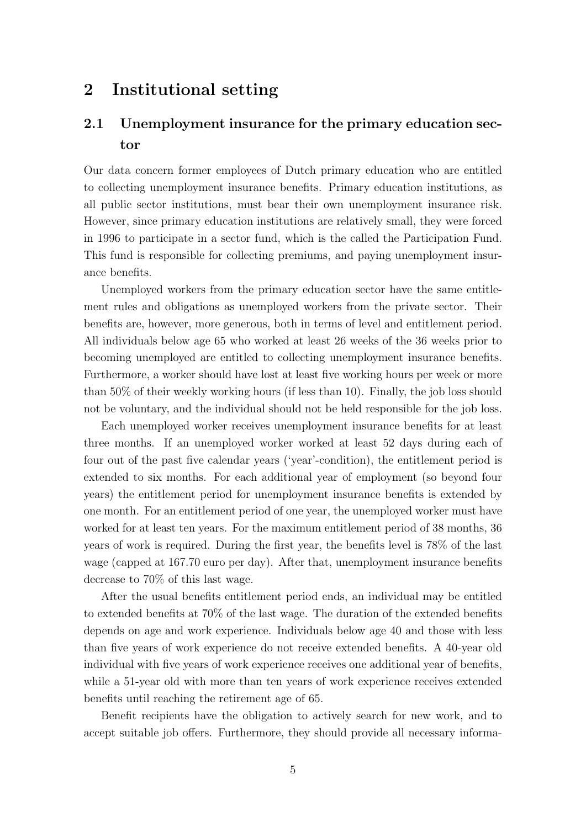### 2 Institutional setting

## 2.1 Unemployment insurance for the primary education sector

Our data concern former employees of Dutch primary education who are entitled to collecting unemployment insurance benefits. Primary education institutions, as all public sector institutions, must bear their own unemployment insurance risk. However, since primary education institutions are relatively small, they were forced in 1996 to participate in a sector fund, which is the called the Participation Fund. This fund is responsible for collecting premiums, and paying unemployment insurance benefits.

Unemployed workers from the primary education sector have the same entitlement rules and obligations as unemployed workers from the private sector. Their benefits are, however, more generous, both in terms of level and entitlement period. All individuals below age 65 who worked at least 26 weeks of the 36 weeks prior to becoming unemployed are entitled to collecting unemployment insurance benefits. Furthermore, a worker should have lost at least five working hours per week or more than 50% of their weekly working hours (if less than 10). Finally, the job loss should not be voluntary, and the individual should not be held responsible for the job loss.

Each unemployed worker receives unemployment insurance benefits for at least three months. If an unemployed worker worked at least 52 days during each of four out of the past five calendar years ('year'-condition), the entitlement period is extended to six months. For each additional year of employment (so beyond four years) the entitlement period for unemployment insurance benefits is extended by one month. For an entitlement period of one year, the unemployed worker must have worked for at least ten years. For the maximum entitlement period of 38 months, 36 years of work is required. During the first year, the benefits level is 78% of the last wage (capped at 167.70 euro per day). After that, unemployment insurance benefits decrease to 70% of this last wage.

After the usual benefits entitlement period ends, an individual may be entitled to extended benefits at 70% of the last wage. The duration of the extended benefits depends on age and work experience. Individuals below age 40 and those with less than five years of work experience do not receive extended benefits. A 40-year old individual with five years of work experience receives one additional year of benefits, while a 51-year old with more than ten years of work experience receives extended benefits until reaching the retirement age of 65.

Benefit recipients have the obligation to actively search for new work, and to accept suitable job offers. Furthermore, they should provide all necessary informa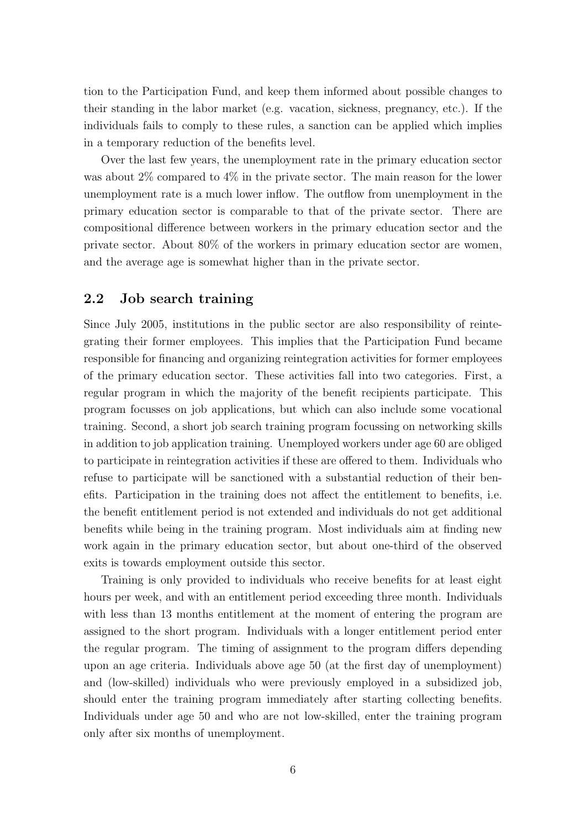tion to the Participation Fund, and keep them informed about possible changes to their standing in the labor market (e.g. vacation, sickness, pregnancy, etc.). If the individuals fails to comply to these rules, a sanction can be applied which implies in a temporary reduction of the benefits level.

Over the last few years, the unemployment rate in the primary education sector was about 2\% compared to 4\% in the private sector. The main reason for the lower unemployment rate is a much lower inflow. The outflow from unemployment in the primary education sector is comparable to that of the private sector. There are compositional difference between workers in the primary education sector and the private sector. About 80% of the workers in primary education sector are women, and the average age is somewhat higher than in the private sector.

#### 2.2 Job search training

Since July 2005, institutions in the public sector are also responsibility of reintegrating their former employees. This implies that the Participation Fund became responsible for financing and organizing reintegration activities for former employees of the primary education sector. These activities fall into two categories. First, a regular program in which the majority of the benefit recipients participate. This program focusses on job applications, but which can also include some vocational training. Second, a short job search training program focussing on networking skills in addition to job application training. Unemployed workers under age 60 are obliged to participate in reintegration activities if these are offered to them. Individuals who refuse to participate will be sanctioned with a substantial reduction of their benefits. Participation in the training does not affect the entitlement to benefits, i.e. the benefit entitlement period is not extended and individuals do not get additional benefits while being in the training program. Most individuals aim at finding new work again in the primary education sector, but about one-third of the observed exits is towards employment outside this sector.

Training is only provided to individuals who receive benefits for at least eight hours per week, and with an entitlement period exceeding three month. Individuals with less than 13 months entitlement at the moment of entering the program are assigned to the short program. Individuals with a longer entitlement period enter the regular program. The timing of assignment to the program differs depending upon an age criteria. Individuals above age 50 (at the first day of unemployment) and (low-skilled) individuals who were previously employed in a subsidized job, should enter the training program immediately after starting collecting benefits. Individuals under age 50 and who are not low-skilled, enter the training program only after six months of unemployment.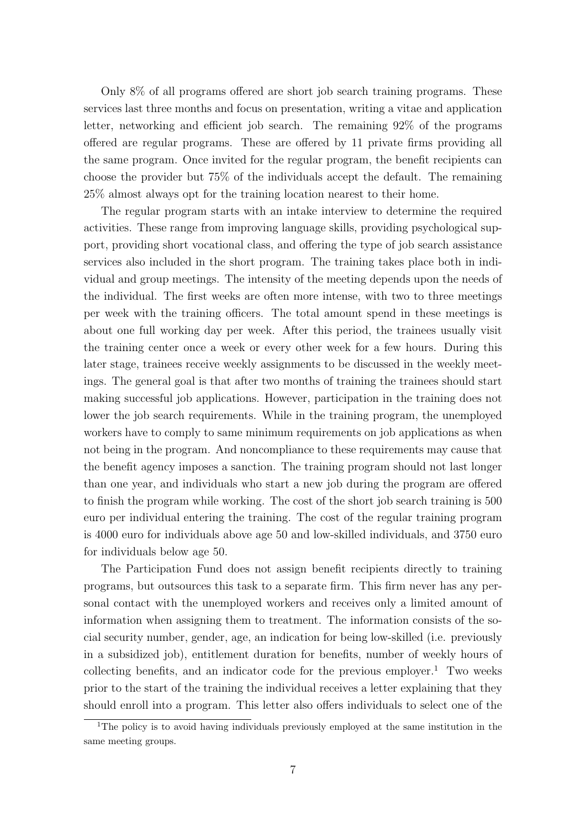Only 8% of all programs offered are short job search training programs. These services last three months and focus on presentation, writing a vitae and application letter, networking and efficient job search. The remaining 92% of the programs offered are regular programs. These are offered by 11 private firms providing all the same program. Once invited for the regular program, the benefit recipients can choose the provider but 75% of the individuals accept the default. The remaining 25% almost always opt for the training location nearest to their home.

The regular program starts with an intake interview to determine the required activities. These range from improving language skills, providing psychological support, providing short vocational class, and offering the type of job search assistance services also included in the short program. The training takes place both in individual and group meetings. The intensity of the meeting depends upon the needs of the individual. The first weeks are often more intense, with two to three meetings per week with the training officers. The total amount spend in these meetings is about one full working day per week. After this period, the trainees usually visit the training center once a week or every other week for a few hours. During this later stage, trainees receive weekly assignments to be discussed in the weekly meetings. The general goal is that after two months of training the trainees should start making successful job applications. However, participation in the training does not lower the job search requirements. While in the training program, the unemployed workers have to comply to same minimum requirements on job applications as when not being in the program. And noncompliance to these requirements may cause that the benefit agency imposes a sanction. The training program should not last longer than one year, and individuals who start a new job during the program are offered to finish the program while working. The cost of the short job search training is 500 euro per individual entering the training. The cost of the regular training program is 4000 euro for individuals above age 50 and low-skilled individuals, and 3750 euro for individuals below age 50.

The Participation Fund does not assign benefit recipients directly to training programs, but outsources this task to a separate firm. This firm never has any personal contact with the unemployed workers and receives only a limited amount of information when assigning them to treatment. The information consists of the social security number, gender, age, an indication for being low-skilled (i.e. previously in a subsidized job), entitlement duration for benefits, number of weekly hours of collecting benefits, and an indicator code for the previous employer.<sup>1</sup> Two weeks prior to the start of the training the individual receives a letter explaining that they should enroll into a program. This letter also offers individuals to select one of the

<sup>&</sup>lt;sup>1</sup>The policy is to avoid having individuals previously employed at the same institution in the same meeting groups.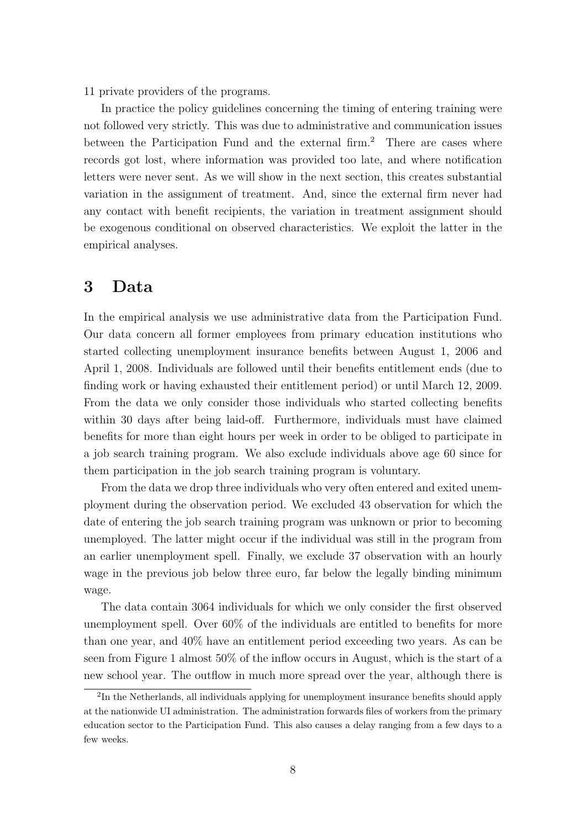11 private providers of the programs.

In practice the policy guidelines concerning the timing of entering training were not followed very strictly. This was due to administrative and communication issues between the Participation Fund and the external firm.<sup>2</sup> There are cases where records got lost, where information was provided too late, and where notification letters were never sent. As we will show in the next section, this creates substantial variation in the assignment of treatment. And, since the external firm never had any contact with benefit recipients, the variation in treatment assignment should be exogenous conditional on observed characteristics. We exploit the latter in the empirical analyses.

### 3 Data

In the empirical analysis we use administrative data from the Participation Fund. Our data concern all former employees from primary education institutions who started collecting unemployment insurance benefits between August 1, 2006 and April 1, 2008. Individuals are followed until their benefits entitlement ends (due to finding work or having exhausted their entitlement period) or until March 12, 2009. From the data we only consider those individuals who started collecting benefits within 30 days after being laid-off. Furthermore, individuals must have claimed benefits for more than eight hours per week in order to be obliged to participate in a job search training program. We also exclude individuals above age 60 since for them participation in the job search training program is voluntary.

From the data we drop three individuals who very often entered and exited unemployment during the observation period. We excluded 43 observation for which the date of entering the job search training program was unknown or prior to becoming unemployed. The latter might occur if the individual was still in the program from an earlier unemployment spell. Finally, we exclude 37 observation with an hourly wage in the previous job below three euro, far below the legally binding minimum wage.

The data contain 3064 individuals for which we only consider the first observed unemployment spell. Over 60% of the individuals are entitled to benefits for more than one year, and 40% have an entitlement period exceeding two years. As can be seen from Figure 1 almost 50% of the inflow occurs in August, which is the start of a new school year. The outflow in much more spread over the year, although there is

<sup>&</sup>lt;sup>2</sup>In the Netherlands, all individuals applying for unemployment insurance benefits should apply at the nationwide UI administration. The administration forwards files of workers from the primary education sector to the Participation Fund. This also causes a delay ranging from a few days to a few weeks.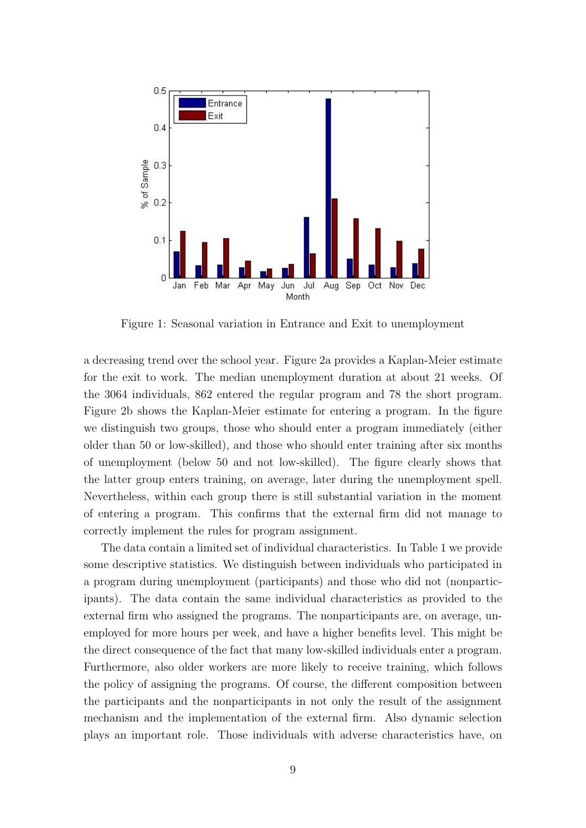

Figure 1: Seasonal variation in Entrance and Exit to unemployment

a decreasing trend over the school year. Figure 2a provides a Kaplan-Meier estimate for the exit to work. The median unemployment duration at about 21 weeks. Of the 3064 individuals, 862 entered the regular program and 78 the short program. Figure 2b shows the Kaplan-Meier estimate for entering a program. In the figure we distinguish two groups, those who should enter a program immediately (either older than 50 or low-skilled), and those who should enter training after six months of unemployment (below 50 and not low-skilled). The figure clearly shows that the latter group enters training, on average, later during the unemployment spell. Nevertheless, within each group there is still substantial variation in the moment of entering a program. This confirms that the external firm did not manage to correctly implement the rules for program assignment.

The data contain a limited set of individual characteristics. In Table 1 we provide some descriptive statistics. We distinguish between individuals who participated in a program during unemployment (participants) and those who did not (nonparticipants). The data contain the same individual characteristics as provided to the external firm who assigned the programs. The nonparticipants are, on average, unemployed for more hours per week, and have a higher benefits level. This might be the direct consequence of the fact that many low-skilled individuals enter a program. Furthermore, also older workers are more likely to receive training, which follows the policy of assigning the programs. Of course, the different composition between the participants and the nonparticipants in not only the result of the assignment mechanism and the implementation of the external firm. Also dynamic selection plays an important role. Those individuals with adverse characteristics have, on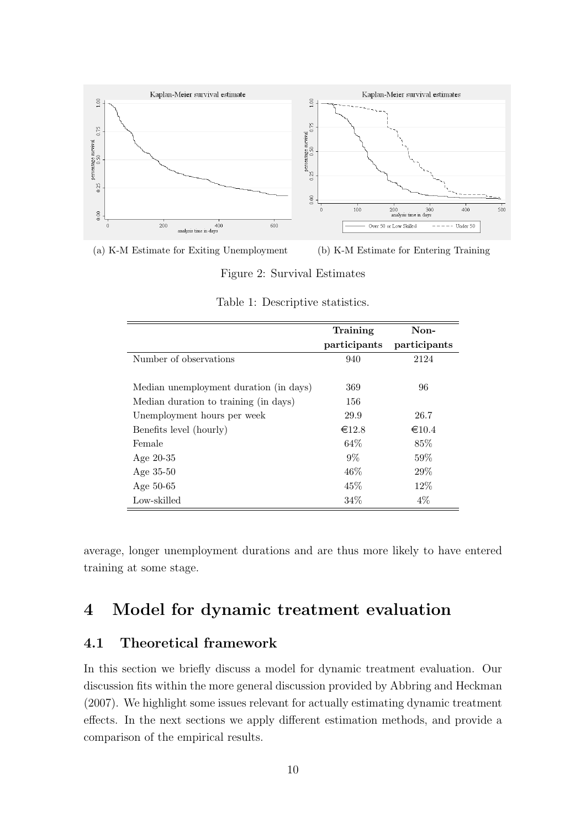

(a) K-M Estimate for Exiting Unemployment (b) K-M Estimate for Entering Training

Figure 2: Survival Estimates

|                                        | Training        | Non-            |
|----------------------------------------|-----------------|-----------------|
|                                        | participants    | participants    |
| Number of observations                 | 940             | 2124            |
|                                        |                 |                 |
| Median unemployment duration (in days) | 369             | 96              |
| Median duration to training (in days)  | 156             |                 |
| Unemployment hours per week            | 29.9            | 26.7            |
| Benefits level (hourly)                | $\epsilon$ 12.8 | $\epsilon$ 10.4 |
| Female                                 | 64\%            | 85\%            |
| Age $20-35$                            | $9\%$           | $59\%$          |
| Age $35-50$                            | 46%             | 29%             |
| Age 50-65                              | 45%             | $12\%$          |
| Low-skilled                            | 34%             | $4\%$           |

Table 1: Descriptive statistics.

average, longer unemployment durations and are thus more likely to have entered training at some stage.

# 4 Model for dynamic treatment evaluation

#### 4.1 Theoretical framework

In this section we briefly discuss a model for dynamic treatment evaluation. Our discussion fits within the more general discussion provided by Abbring and Heckman (2007). We highlight some issues relevant for actually estimating dynamic treatment effects. In the next sections we apply different estimation methods, and provide a comparison of the empirical results.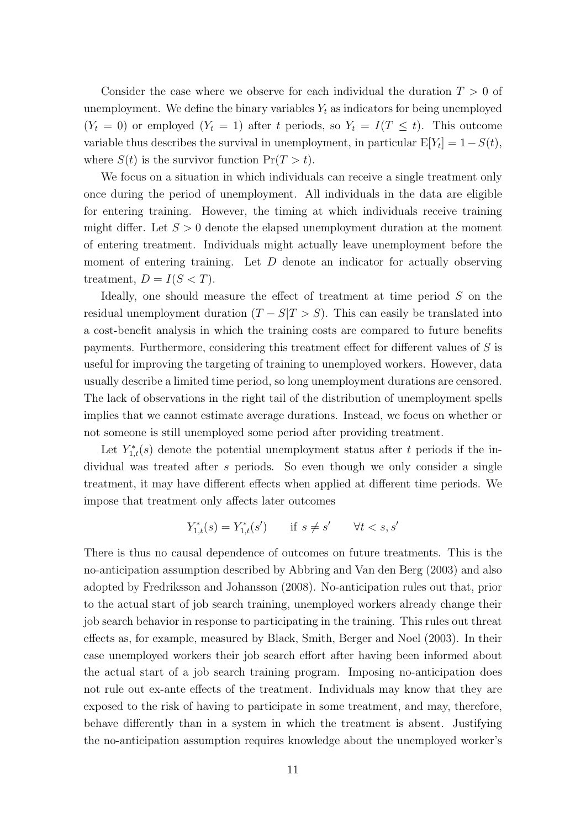Consider the case where we observe for each individual the duration  $T > 0$  of unemployment. We define the binary variables  $Y_t$  as indicators for being unemployed  $(Y_t = 0)$  or employed  $(Y_t = 1)$  after t periods, so  $Y_t = I(T \leq t)$ . This outcome variable thus describes the survival in unemployment, in particular  $E[Y_t] = 1 - S(t)$ , where  $S(t)$  is the survivor function  $Pr(T > t)$ .

We focus on a situation in which individuals can receive a single treatment only once during the period of unemployment. All individuals in the data are eligible for entering training. However, the timing at which individuals receive training might differ. Let  $S > 0$  denote the elapsed unemployment duration at the moment of entering treatment. Individuals might actually leave unemployment before the moment of entering training. Let  $D$  denote an indicator for actually observing treatment,  $D = I(S < T)$ .

Ideally, one should measure the effect of treatment at time period S on the residual unemployment duration  $(T - S|T > S)$ . This can easily be translated into a cost-benefit analysis in which the training costs are compared to future benefits payments. Furthermore, considering this treatment effect for different values of S is useful for improving the targeting of training to unemployed workers. However, data usually describe a limited time period, so long unemployment durations are censored. The lack of observations in the right tail of the distribution of unemployment spells implies that we cannot estimate average durations. Instead, we focus on whether or not someone is still unemployed some period after providing treatment.

Let  $Y_{1,t}^*(s)$  denote the potential unemployment status after t periods if the individual was treated after s periods. So even though we only consider a single treatment, it may have different effects when applied at different time periods. We impose that treatment only affects later outcomes

$$
Y_{1,t}^*(s) = Y_{1,t}^*(s') \qquad \text{if } s \neq s' \qquad \forall t < s, s'
$$

There is thus no causal dependence of outcomes on future treatments. This is the no-anticipation assumption described by Abbring and Van den Berg (2003) and also adopted by Fredriksson and Johansson (2008). No-anticipation rules out that, prior to the actual start of job search training, unemployed workers already change their job search behavior in response to participating in the training. This rules out threat effects as, for example, measured by Black, Smith, Berger and Noel (2003). In their case unemployed workers their job search effort after having been informed about the actual start of a job search training program. Imposing no-anticipation does not rule out ex-ante effects of the treatment. Individuals may know that they are exposed to the risk of having to participate in some treatment, and may, therefore, behave differently than in a system in which the treatment is absent. Justifying the no-anticipation assumption requires knowledge about the unemployed worker's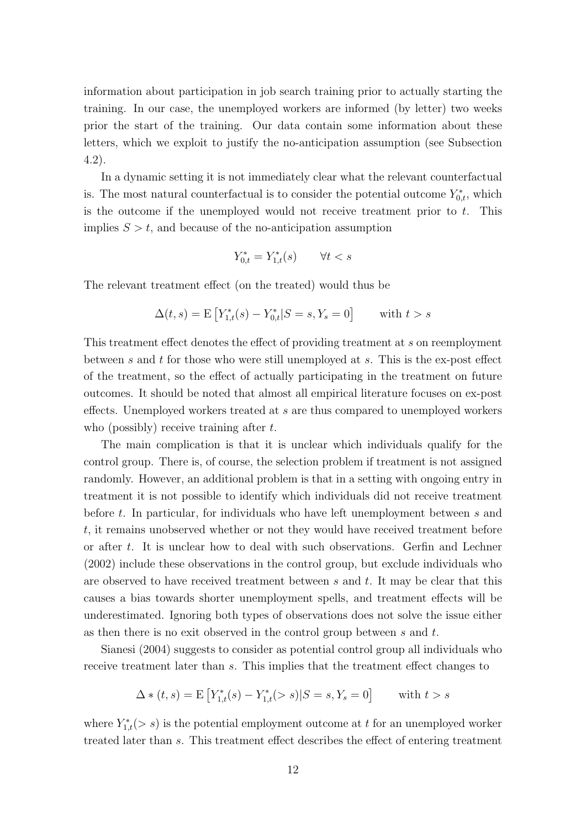information about participation in job search training prior to actually starting the training. In our case, the unemployed workers are informed (by letter) two weeks prior the start of the training. Our data contain some information about these letters, which we exploit to justify the no-anticipation assumption (see Subsection 4.2).

In a dynamic setting it is not immediately clear what the relevant counterfactual is. The most natural counterfactual is to consider the potential outcome  $Y_{0,t}^*$ , which is the outcome if the unemployed would not receive treatment prior to  $t$ . This implies  $S > t$ , and because of the no-anticipation assumption

$$
Y_{0,t}^* = Y_{1,t}^*(s) \qquad \forall t < s
$$

The relevant treatment effect (on the treated) would thus be

$$
\Delta(t,s) = \mathbf{E}\left[Y_{1,t}^*(s) - Y_{0,t}^*|S = s, Y_s = 0\right] \text{ with } t > s
$$

This treatment effect denotes the effect of providing treatment at s on reemployment between s and t for those who were still unemployed at s. This is the ex-post effect of the treatment, so the effect of actually participating in the treatment on future outcomes. It should be noted that almost all empirical literature focuses on ex-post effects. Unemployed workers treated at s are thus compared to unemployed workers who (possibly) receive training after  $t$ .

The main complication is that it is unclear which individuals qualify for the control group. There is, of course, the selection problem if treatment is not assigned randomly. However, an additional problem is that in a setting with ongoing entry in treatment it is not possible to identify which individuals did not receive treatment before t. In particular, for individuals who have left unemployment between s and t, it remains unobserved whether or not they would have received treatment before or after t. It is unclear how to deal with such observations. Gerfin and Lechner (2002) include these observations in the control group, but exclude individuals who are observed to have received treatment between  $s$  and  $t$ . It may be clear that this causes a bias towards shorter unemployment spells, and treatment effects will be underestimated. Ignoring both types of observations does not solve the issue either as then there is no exit observed in the control group between s and t.

Sianesi (2004) suggests to consider as potential control group all individuals who receive treatment later than s. This implies that the treatment effect changes to

$$
\Delta * (t, s) = \mathbf{E} \left[ Y_{1,t}^*(s) - Y_{1,t}^*(>s) | S = s, Y_s = 0 \right] \quad \text{with } t > s
$$

where  $Y_{1,t}^*(> s)$  is the potential employment outcome at t for an unemployed worker treated later than s. This treatment effect describes the effect of entering treatment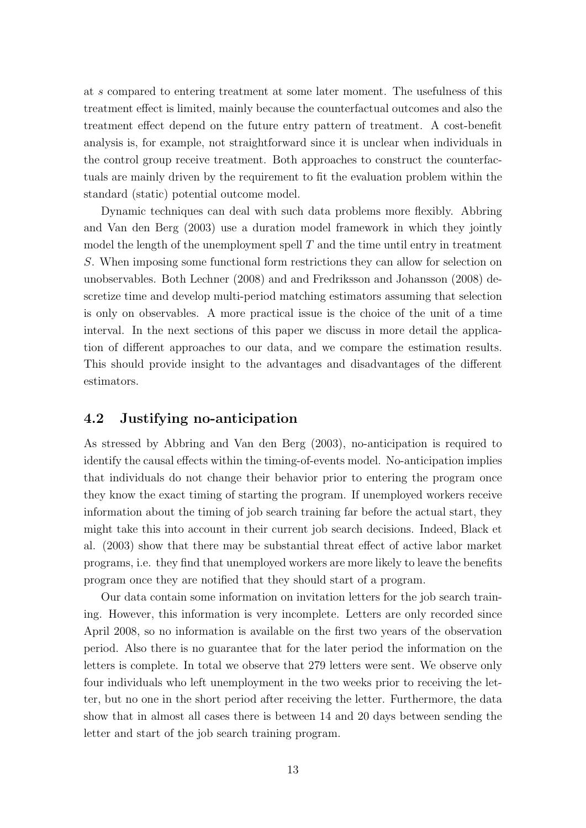at s compared to entering treatment at some later moment. The usefulness of this treatment effect is limited, mainly because the counterfactual outcomes and also the treatment effect depend on the future entry pattern of treatment. A cost-benefit analysis is, for example, not straightforward since it is unclear when individuals in the control group receive treatment. Both approaches to construct the counterfactuals are mainly driven by the requirement to fit the evaluation problem within the standard (static) potential outcome model.

Dynamic techniques can deal with such data problems more flexibly. Abbring and Van den Berg (2003) use a duration model framework in which they jointly model the length of the unemployment spell  $T$  and the time until entry in treatment S. When imposing some functional form restrictions they can allow for selection on unobservables. Both Lechner (2008) and and Fredriksson and Johansson (2008) descretize time and develop multi-period matching estimators assuming that selection is only on observables. A more practical issue is the choice of the unit of a time interval. In the next sections of this paper we discuss in more detail the application of different approaches to our data, and we compare the estimation results. This should provide insight to the advantages and disadvantages of the different estimators.

#### 4.2 Justifying no-anticipation

As stressed by Abbring and Van den Berg (2003), no-anticipation is required to identify the causal effects within the timing-of-events model. No-anticipation implies that individuals do not change their behavior prior to entering the program once they know the exact timing of starting the program. If unemployed workers receive information about the timing of job search training far before the actual start, they might take this into account in their current job search decisions. Indeed, Black et al. (2003) show that there may be substantial threat effect of active labor market programs, i.e. they find that unemployed workers are more likely to leave the benefits program once they are notified that they should start of a program.

Our data contain some information on invitation letters for the job search training. However, this information is very incomplete. Letters are only recorded since April 2008, so no information is available on the first two years of the observation period. Also there is no guarantee that for the later period the information on the letters is complete. In total we observe that 279 letters were sent. We observe only four individuals who left unemployment in the two weeks prior to receiving the letter, but no one in the short period after receiving the letter. Furthermore, the data show that in almost all cases there is between 14 and 20 days between sending the letter and start of the job search training program.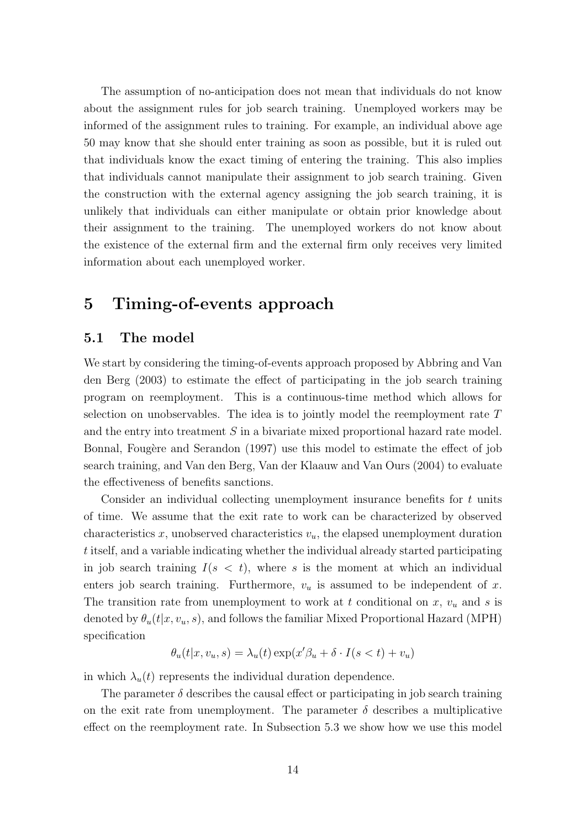The assumption of no-anticipation does not mean that individuals do not know about the assignment rules for job search training. Unemployed workers may be informed of the assignment rules to training. For example, an individual above age 50 may know that she should enter training as soon as possible, but it is ruled out that individuals know the exact timing of entering the training. This also implies that individuals cannot manipulate their assignment to job search training. Given the construction with the external agency assigning the job search training, it is unlikely that individuals can either manipulate or obtain prior knowledge about their assignment to the training. The unemployed workers do not know about the existence of the external firm and the external firm only receives very limited information about each unemployed worker.

## 5 Timing-of-events approach

#### 5.1 The model

We start by considering the timing-of-events approach proposed by Abbring and Van den Berg (2003) to estimate the effect of participating in the job search training program on reemployment. This is a continuous-time method which allows for selection on unobservables. The idea is to jointly model the reemployment rate T and the entry into treatment S in a bivariate mixed proportional hazard rate model. Bonnal, Fougère and Serandon (1997) use this model to estimate the effect of job search training, and Van den Berg, Van der Klaauw and Van Ours (2004) to evaluate the effectiveness of benefits sanctions.

Consider an individual collecting unemployment insurance benefits for t units of time. We assume that the exit rate to work can be characterized by observed characteristics  $x$ , unobserved characteristics  $v<sub>u</sub>$ , the elapsed unemployment duration t itself, and a variable indicating whether the individual already started participating in job search training  $I(s < t)$ , where s is the moment at which an individual enters job search training. Furthermore,  $v_u$  is assumed to be independent of x. The transition rate from unemployment to work at t conditional on  $x, v_u$  and s is denoted by  $\theta_u(t|x, v_u, s)$ , and follows the familiar Mixed Proportional Hazard (MPH) specification

$$
\theta_u(t|x, v_u, s) = \lambda_u(t) \exp(x'\beta_u + \delta \cdot I(s < t) + v_u)
$$

in which  $\lambda_u(t)$  represents the individual duration dependence.

The parameter  $\delta$  describes the causal effect or participating in job search training on the exit rate from unemployment. The parameter  $\delta$  describes a multiplicative effect on the reemployment rate. In Subsection 5.3 we show how we use this model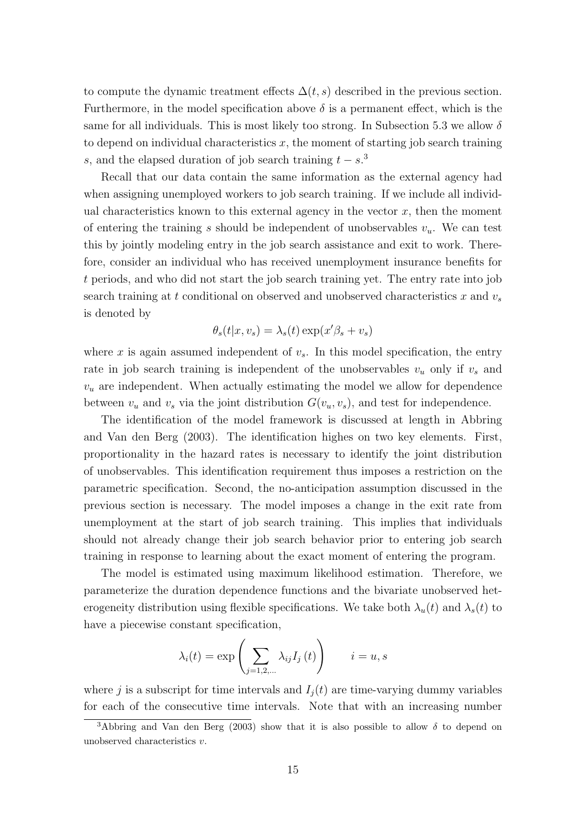to compute the dynamic treatment effects  $\Delta(t, s)$  described in the previous section. Furthermore, in the model specification above  $\delta$  is a permanent effect, which is the same for all individuals. This is most likely too strong. In Subsection 5.3 we allow  $\delta$ to depend on individual characteristics  $x$ , the moment of starting job search training s, and the elapsed duration of job search training  $t - s$ <sup>3</sup>

Recall that our data contain the same information as the external agency had when assigning unemployed workers to job search training. If we include all individual characteristics known to this external agency in the vector  $x$ , then the moment of entering the training s should be independent of unobservables  $v_u$ . We can test this by jointly modeling entry in the job search assistance and exit to work. Therefore, consider an individual who has received unemployment insurance benefits for t periods, and who did not start the job search training yet. The entry rate into job search training at t conditional on observed and unobserved characteristics x and  $v_s$ is denoted by

$$
\theta_s(t|x, v_s) = \lambda_s(t) \exp(x'\beta_s + v_s)
$$

where x is again assumed independent of  $v_s$ . In this model specification, the entry rate in job search training is independent of the unobservables  $v_u$  only if  $v_s$  and  $v<sub>u</sub>$  are independent. When actually estimating the model we allow for dependence between  $v_u$  and  $v_s$  via the joint distribution  $G(v_u, v_s)$ , and test for independence.

The identification of the model framework is discussed at length in Abbring and Van den Berg (2003). The identification highes on two key elements. First, proportionality in the hazard rates is necessary to identify the joint distribution of unobservables. This identification requirement thus imposes a restriction on the parametric specification. Second, the no-anticipation assumption discussed in the previous section is necessary. The model imposes a change in the exit rate from unemployment at the start of job search training. This implies that individuals should not already change their job search behavior prior to entering job search training in response to learning about the exact moment of entering the program.

The model is estimated using maximum likelihood estimation. Therefore, we parameterize the duration dependence functions and the bivariate unobserved heterogeneity distribution using flexible specifications. We take both  $\lambda_u(t)$  and  $\lambda_s(t)$  to have a piecewise constant specification,

$$
\lambda_i(t) = \exp\left(\sum_{j=1,2,\dots} \lambda_{ij} I_j(t)\right) \qquad i = u, s
$$

where j is a subscript for time intervals and  $I_i(t)$  are time-varying dummy variables for each of the consecutive time intervals. Note that with an increasing number

<sup>&</sup>lt;sup>3</sup>Abbring and Van den Berg (2003) show that it is also possible to allow  $\delta$  to depend on unobserved characteristics v.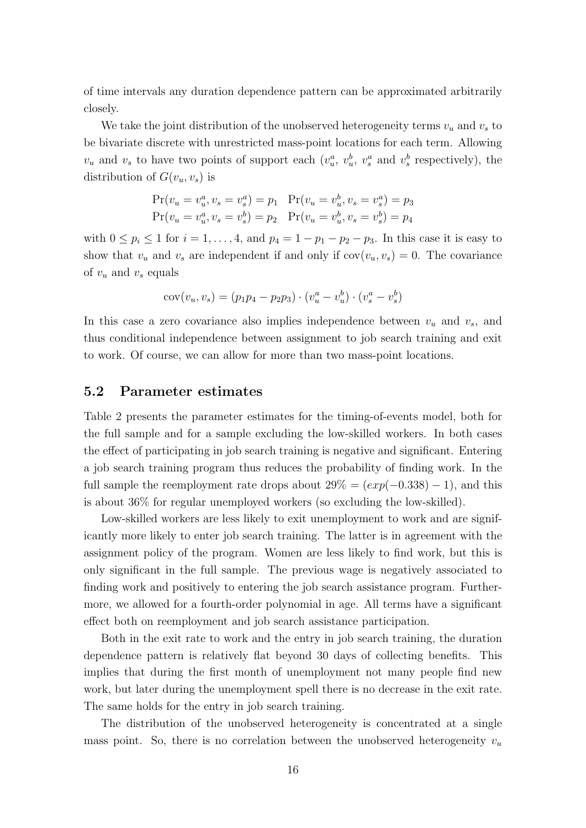of time intervals any duration dependence pattern can be approximated arbitrarily closely.

We take the joint distribution of the unobserved heterogeneity terms  $v_u$  and  $v_s$  to be bivariate discrete with unrestricted mass-point locations for each term. Allowing  $v_u$  and  $v_s$  to have two points of support each  $(v_u^a, v_u^b, v_s^a$  and  $v_s^b$  respectively), the distribution of  $G(v_u, v_s)$  is

$$
Pr(v_u = v_u^a, v_s = v_s^a) = p_1 \quad Pr(v_u = v_u^b, v_s = v_s^a) = p_3
$$
  

$$
Pr(v_u = v_u^a, v_s = v_s^b) = p_2 \quad Pr(v_u = v_u^b, v_s = v_s^b) = p_4
$$

with  $0 \leq p_i \leq 1$  for  $i = 1, \ldots, 4$ , and  $p_4 = 1 - p_1 - p_2 - p_3$ . In this case it is easy to show that  $v_u$  and  $v_s$  are independent if and only if  $cov(v_u, v_s) = 0$ . The covariance of  $v_u$  and  $v_s$  equals

$$
cov(v_u, v_s) = (p_1p_4 - p_2p_3) \cdot (v_u^a - v_u^b) \cdot (v_s^a - v_s^b)
$$

In this case a zero covariance also implies independence between  $v_u$  and  $v_s$ , and thus conditional independence between assignment to job search training and exit to work. Of course, we can allow for more than two mass-point locations.

#### 5.2 Parameter estimates

Table 2 presents the parameter estimates for the timing-of-events model, both for the full sample and for a sample excluding the low-skilled workers. In both cases the effect of participating in job search training is negative and significant. Entering a job search training program thus reduces the probability of finding work. In the full sample the reemployment rate drops about  $29\% = (exp(-0.338) - 1)$ , and this is about 36% for regular unemployed workers (so excluding the low-skilled).

Low-skilled workers are less likely to exit unemployment to work and are significantly more likely to enter job search training. The latter is in agreement with the assignment policy of the program. Women are less likely to find work, but this is only significant in the full sample. The previous wage is negatively associated to finding work and positively to entering the job search assistance program. Furthermore, we allowed for a fourth-order polynomial in age. All terms have a significant effect both on reemployment and job search assistance participation.

Both in the exit rate to work and the entry in job search training, the duration dependence pattern is relatively flat beyond 30 days of collecting benefits. This implies that during the first month of unemployment not many people find new work, but later during the unemployment spell there is no decrease in the exit rate. The same holds for the entry in job search training.

The distribution of the unobserved heterogeneity is concentrated at a single mass point. So, there is no correlation between the unobserved heterogeneity  $v_u$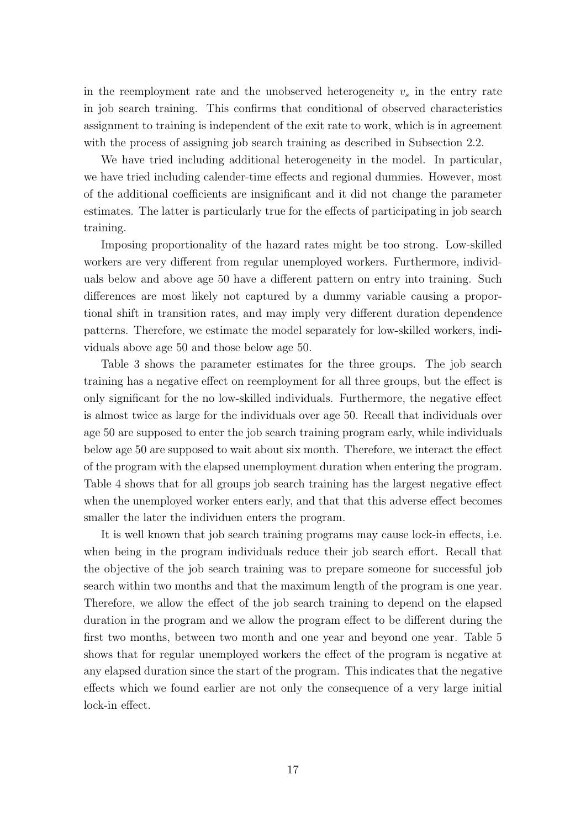in the reemployment rate and the unobserved heterogeneity  $v_s$  in the entry rate in job search training. This confirms that conditional of observed characteristics assignment to training is independent of the exit rate to work, which is in agreement with the process of assigning job search training as described in Subsection 2.2.

We have tried including additional heterogeneity in the model. In particular, we have tried including calender-time effects and regional dummies. However, most of the additional coefficients are insignificant and it did not change the parameter estimates. The latter is particularly true for the effects of participating in job search training.

Imposing proportionality of the hazard rates might be too strong. Low-skilled workers are very different from regular unemployed workers. Furthermore, individuals below and above age 50 have a different pattern on entry into training. Such differences are most likely not captured by a dummy variable causing a proportional shift in transition rates, and may imply very different duration dependence patterns. Therefore, we estimate the model separately for low-skilled workers, individuals above age 50 and those below age 50.

Table 3 shows the parameter estimates for the three groups. The job search training has a negative effect on reemployment for all three groups, but the effect is only significant for the no low-skilled individuals. Furthermore, the negative effect is almost twice as large for the individuals over age 50. Recall that individuals over age 50 are supposed to enter the job search training program early, while individuals below age 50 are supposed to wait about six month. Therefore, we interact the effect of the program with the elapsed unemployment duration when entering the program. Table 4 shows that for all groups job search training has the largest negative effect when the unemployed worker enters early, and that that this adverse effect becomes smaller the later the individuen enters the program.

It is well known that job search training programs may cause lock-in effects, i.e. when being in the program individuals reduce their job search effort. Recall that the objective of the job search training was to prepare someone for successful job search within two months and that the maximum length of the program is one year. Therefore, we allow the effect of the job search training to depend on the elapsed duration in the program and we allow the program effect to be different during the first two months, between two month and one year and beyond one year. Table 5 shows that for regular unemployed workers the effect of the program is negative at any elapsed duration since the start of the program. This indicates that the negative effects which we found earlier are not only the consequence of a very large initial lock-in effect.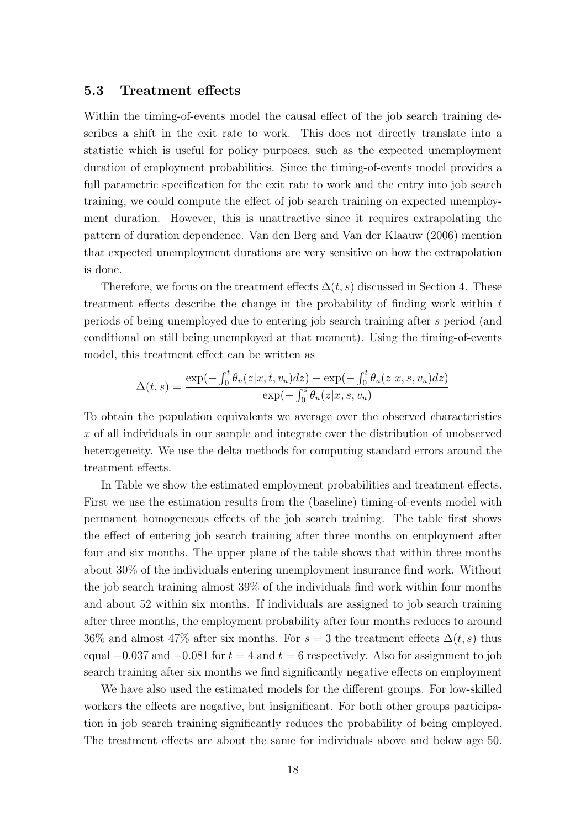#### 5.3 Treatment effects

Within the timing-of-events model the causal effect of the job search training describes a shift in the exit rate to work. This does not directly translate into a statistic which is useful for policy purposes, such as the expected unemployment duration of employment probabilities. Since the timing-of-events model provides a full parametric specification for the exit rate to work and the entry into job search training, we could compute the effect of job search training on expected unemployment duration. However, this is unattractive since it requires extrapolating the pattern of duration dependence. Van den Berg and Van der Klaauw (2006) mention that expected unemployment durations are very sensitive on how the extrapolation is done.

Therefore, we focus on the treatment effects  $\Delta(t, s)$  discussed in Section 4. These treatment effects describe the change in the probability of finding work within t periods of being unemployed due to entering job search training after s period (and conditional on still being unemployed at that moment). Using the timing-of-events model, this treatment effect can be written as

$$
\Delta(t,s) = \frac{\exp(-\int_0^t \theta_u(z|x,t,v_u)dz) - \exp(-\int_0^t \theta_u(z|x,s,v_u)dz)}{\exp(-\int_0^s \theta_u(z|x,s,v_u))}
$$

To obtain the population equivalents we average over the observed characteristics x of all individuals in our sample and integrate over the distribution of unobserved heterogeneity. We use the delta methods for computing standard errors around the treatment effects.

In Table we show the estimated employment probabilities and treatment effects. First we use the estimation results from the (baseline) timing-of-events model with permanent homogeneous effects of the job search training. The table first shows the effect of entering job search training after three months on employment after four and six months. The upper plane of the table shows that within three months about 30% of the individuals entering unemployment insurance find work. Without the job search training almost 39% of the individuals find work within four months and about 52 within six months. If individuals are assigned to job search training after three months, the employment probability after four months reduces to around 36% and almost 47% after six months. For  $s = 3$  the treatment effects  $\Delta(t, s)$  thus equal  $-0.037$  and  $-0.081$  for  $t = 4$  and  $t = 6$  respectively. Also for assignment to job search training after six months we find significantly negative effects on employment

We have also used the estimated models for the different groups. For low-skilled workers the effects are negative, but insignificant. For both other groups participation in job search training significantly reduces the probability of being employed. The treatment effects are about the same for individuals above and below age 50.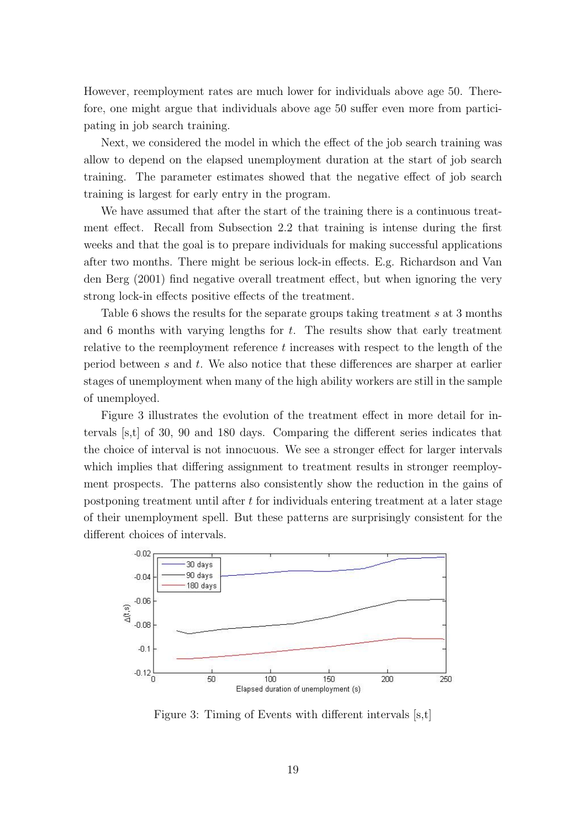However, reemployment rates are much lower for individuals above age 50. Therefore, one might argue that individuals above age 50 suffer even more from participating in job search training.

Next, we considered the model in which the effect of the job search training was allow to depend on the elapsed unemployment duration at the start of job search training. The parameter estimates showed that the negative effect of job search training is largest for early entry in the program.

We have assumed that after the start of the training there is a continuous treatment effect. Recall from Subsection 2.2 that training is intense during the first weeks and that the goal is to prepare individuals for making successful applications after two months. There might be serious lock-in effects. E.g. Richardson and Van den Berg (2001) find negative overall treatment effect, but when ignoring the very strong lock-in effects positive effects of the treatment.

Table 6 shows the results for the separate groups taking treatment s at 3 months and 6 months with varying lengths for  $t$ . The results show that early treatment relative to the reemployment reference  $t$  increases with respect to the length of the period between s and t. We also notice that these differences are sharper at earlier stages of unemployment when many of the high ability workers are still in the sample of unemployed.

Figure 3 illustrates the evolution of the treatment effect in more detail for intervals [s,t] of 30, 90 and 180 days. Comparing the different series indicates that the choice of interval is not innocuous. We see a stronger effect for larger intervals which implies that differing assignment to treatment results in stronger reemployment prospects. The patterns also consistently show the reduction in the gains of postponing treatment until after t for individuals entering treatment at a later stage of their unemployment spell. But these patterns are surprisingly consistent for the different choices of intervals.



Figure 3: Timing of Events with different intervals [s,t]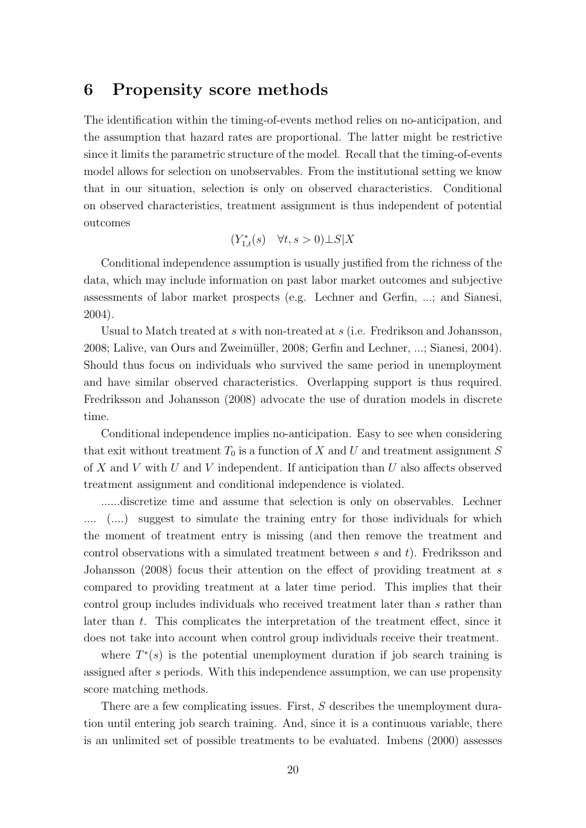### 6 Propensity score methods

The identification within the timing-of-events method relies on no-anticipation, and the assumption that hazard rates are proportional. The latter might be restrictive since it limits the parametric structure of the model. Recall that the timing-of-events model allows for selection on unobservables. From the institutional setting we know that in our situation, selection is only on observed characteristics. Conditional on observed characteristics, treatment assignment is thus independent of potential outcomes

$$
(Y_{1,t}^*(s) \quad \forall t, s > 0) \bot S | X
$$

Conditional independence assumption is usually justified from the richness of the data, which may include information on past labor market outcomes and subjective assessments of labor market prospects (e.g. Lechner and Gerfin, ...; and Sianesi, 2004).

Usual to Match treated at s with non-treated at s (i.e. Fredrikson and Johansson, 2008; Lalive, van Ours and Zweimüller, 2008; Gerfin and Lechner, ...; Sianesi, 2004). Should thus focus on individuals who survived the same period in unemployment and have similar observed characteristics. Overlapping support is thus required. Fredriksson and Johansson (2008) advocate the use of duration models in discrete time.

Conditional independence implies no-anticipation. Easy to see when considering that exit without treatment  $T_0$  is a function of X and U and treatment assignment S of  $X$  and  $V$  with  $U$  and  $V$  independent. If anticipation than  $U$  also affects observed treatment assignment and conditional independence is violated.

......discretize time and assume that selection is only on observables. Lechner .... (....) suggest to simulate the training entry for those individuals for which the moment of treatment entry is missing (and then remove the treatment and control observations with a simulated treatment between  $s$  and  $t$ ). Fredriksson and Johansson (2008) focus their attention on the effect of providing treatment at s compared to providing treatment at a later time period. This implies that their control group includes individuals who received treatment later than s rather than later than t. This complicates the interpretation of the treatment effect, since it does not take into account when control group individuals receive their treatment.

where  $T^*(s)$  is the potential unemployment duration if job search training is assigned after s periods. With this independence assumption, we can use propensity score matching methods.

There are a few complicating issues. First, S describes the unemployment duration until entering job search training. And, since it is a continuous variable, there is an unlimited set of possible treatments to be evaluated. Imbens (2000) assesses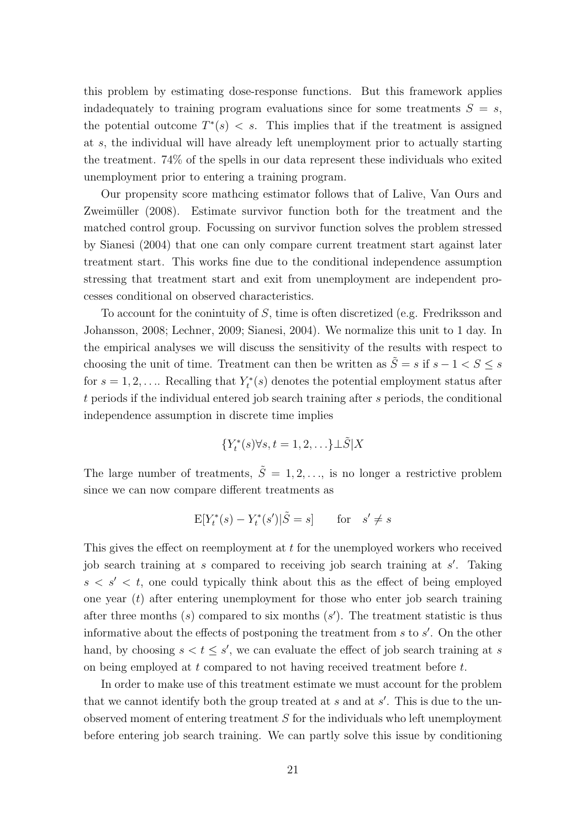this problem by estimating dose-response functions. But this framework applies indadequately to training program evaluations since for some treatments  $S = s$ , the potential outcome  $T^*(s) < s$ . This implies that if the treatment is assigned at s, the individual will have already left unemployment prior to actually starting the treatment. 74% of the spells in our data represent these individuals who exited unemployment prior to entering a training program.

Our propensity score mathcing estimator follows that of Lalive, Van Ours and Zweimüller (2008). Estimate survivor function both for the treatment and the matched control group. Focussing on survivor function solves the problem stressed by Sianesi (2004) that one can only compare current treatment start against later treatment start. This works fine due to the conditional independence assumption stressing that treatment start and exit from unemployment are independent processes conditional on observed characteristics.

To account for the conintuity of S, time is often discretized (e.g. Fredriksson and Johansson, 2008; Lechner, 2009; Sianesi, 2004). We normalize this unit to 1 day. In the empirical analyses we will discuss the sensitivity of the results with respect to choosing the unit of time. Treatment can then be written as  $\tilde{S} = s$  if  $s - 1 < S \leq s$ for  $s = 1, 2, \ldots$  Recalling that  $Y_t^*(s)$  denotes the potential employment status after t periods if the individual entered job search training after s periods, the conditional independence assumption in discrete time implies

$$
\{Y_t^*(s) \forall s, t = 1, 2, \ldots\} \bot \tilde{S} | X
$$

The large number of treatments,  $\tilde{S} = 1, 2, \ldots$ , is no longer a restrictive problem since we can now compare different treatments as

$$
E[Y_t^*(s) - Y_t^*(s')|\tilde{S} = s] \quad \text{for} \quad s' \neq s
$$

This gives the effect on reemployment at t for the unemployed workers who received job search training at  $s$  compared to receiving job search training at  $s'$ . Taking  $s < s' < t$ , one could typically think about this as the effect of being employed one year  $(t)$  after entering unemployment for those who enter job search training after three months  $(s)$  compared to six months  $(s')$ . The treatment statistic is thus informative about the effects of postponing the treatment from  $s$  to  $s'$ . On the other hand, by choosing  $s < t \leq s'$ , we can evaluate the effect of job search training at s on being employed at  $t$  compared to not having received treatment before  $t$ .

In order to make use of this treatment estimate we must account for the problem that we cannot identify both the group treated at  $s$  and at  $s'$ . This is due to the unobserved moment of entering treatment S for the individuals who left unemployment before entering job search training. We can partly solve this issue by conditioning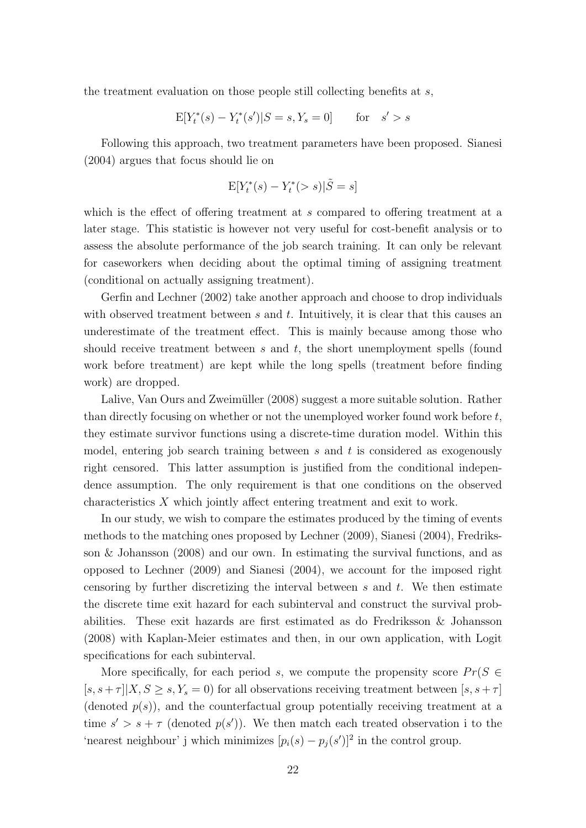the treatment evaluation on those people still collecting benefits at  $s$ ,

$$
E[Y_t^*(s) - Y_t^*(s')|S = s, Y_s = 0] \quad \text{for} \quad s' > s
$$

Following this approach, two treatment parameters have been proposed. Sianesi (2004) argues that focus should lie on

$$
\mathbf{E}[Y_t^*(s) - Y_t^*(>s)|\tilde{S} = s]
$$

which is the effect of offering treatment at s compared to offering treatment at a later stage. This statistic is however not very useful for cost-benefit analysis or to assess the absolute performance of the job search training. It can only be relevant for caseworkers when deciding about the optimal timing of assigning treatment (conditional on actually assigning treatment).

Gerfin and Lechner (2002) take another approach and choose to drop individuals with observed treatment between  $s$  and  $t$ . Intuitively, it is clear that this causes an underestimate of the treatment effect. This is mainly because among those who should receive treatment between  $s$  and  $t$ , the short unemployment spells (found work before treatment) are kept while the long spells (treatment before finding work) are dropped.

Lalive, Van Ours and Zweimüller (2008) suggest a more suitable solution. Rather than directly focusing on whether or not the unemployed worker found work before  $t$ , they estimate survivor functions using a discrete-time duration model. Within this model, entering job search training between  $s$  and  $t$  is considered as exogenously right censored. This latter assumption is justified from the conditional independence assumption. The only requirement is that one conditions on the observed characteristics X which jointly affect entering treatment and exit to work.

In our study, we wish to compare the estimates produced by the timing of events methods to the matching ones proposed by Lechner (2009), Sianesi (2004), Fredriksson & Johansson (2008) and our own. In estimating the survival functions, and as opposed to Lechner (2009) and Sianesi (2004), we account for the imposed right censoring by further discretizing the interval between  $s$  and  $t$ . We then estimate the discrete time exit hazard for each subinterval and construct the survival probabilities. These exit hazards are first estimated as do Fredriksson & Johansson (2008) with Kaplan-Meier estimates and then, in our own application, with Logit specifications for each subinterval.

More specifically, for each period s, we compute the propensity score  $Pr(S \in$  $[s, s + \tau] | X, S \geq s, Y_s = 0$  for all observations receiving treatment between  $[s, s + \tau]$ (denoted  $p(s)$ ), and the counterfactual group potentially receiving treatment at a time  $s' > s + \tau$  (denoted  $p(s')$ ). We then match each treated observation i to the 'nearest neighbour' j which minimizes  $[p_i(s) - p_j(s')]^2$  in the control group.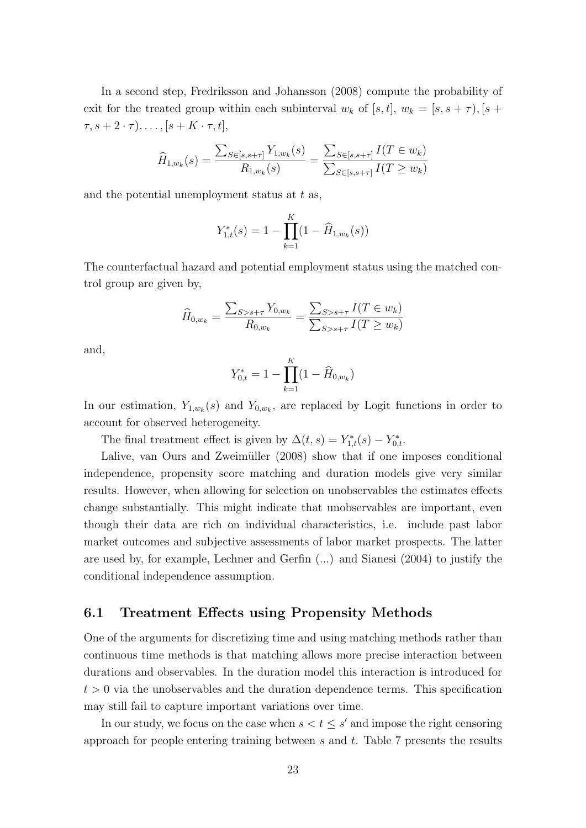In a second step, Fredriksson and Johansson (2008) compute the probability of exit for the treated group within each subinterval  $w_k$  of [s, t],  $w_k = [s, s + \tau)$ , [s +  $\tau, s + 2 \cdot \tau), \ldots, [s + K \cdot \tau, t],$ 

$$
\widehat{H}_{1,w_k}(s) = \frac{\sum_{S \in [s,s+\tau]} Y_{1,w_k}(s)}{R_{1,w_k}(s)} = \frac{\sum_{S \in [s,s+\tau]} I(T \in w_k)}{\sum_{S \in [s,s+\tau]} I(T \ge w_k)}
$$

and the potential unemployment status at  $t$  as,

$$
Y_{1,t}^*(s) = 1 - \prod_{k=1}^K (1 - \widehat{H}_{1,w_k}(s))
$$

The counterfactual hazard and potential employment status using the matched control group are given by,

$$
\widehat{H}_{0,w_k} = \frac{\sum_{S>s+\tau} Y_{0,w_k}}{R_{0,w_k}} = \frac{\sum_{S>s+\tau} I(T \in w_k)}{\sum_{S>s+\tau} I(T \ge w_k)}
$$

and,

$$
Y_{0,t}^* = 1 - \prod_{k=1}^K (1 - \widehat{H}_{0,w_k})
$$

In our estimation,  $Y_{1,w_k}(s)$  and  $Y_{0,w_k}$ , are replaced by Logit functions in order to account for observed heterogeneity.

The final treatment effect is given by  $\Delta(t,s) = Y_{1,t}^*(s) - Y_{0,t}^*$ .

Lalive, van Ours and Zweimüller (2008) show that if one imposes conditional independence, propensity score matching and duration models give very similar results. However, when allowing for selection on unobservables the estimates effects change substantially. This might indicate that unobservables are important, even though their data are rich on individual characteristics, i.e. include past labor market outcomes and subjective assessments of labor market prospects. The latter are used by, for example, Lechner and Gerfin (...) and Sianesi (2004) to justify the conditional independence assumption.

#### 6.1 Treatment Effects using Propensity Methods

One of the arguments for discretizing time and using matching methods rather than continuous time methods is that matching allows more precise interaction between durations and observables. In the duration model this interaction is introduced for  $t > 0$  via the unobservables and the duration dependence terms. This specification may still fail to capture important variations over time.

In our study, we focus on the case when  $s < t \leq s'$  and impose the right censoring approach for people entering training between  $s$  and  $t$ . Table 7 presents the results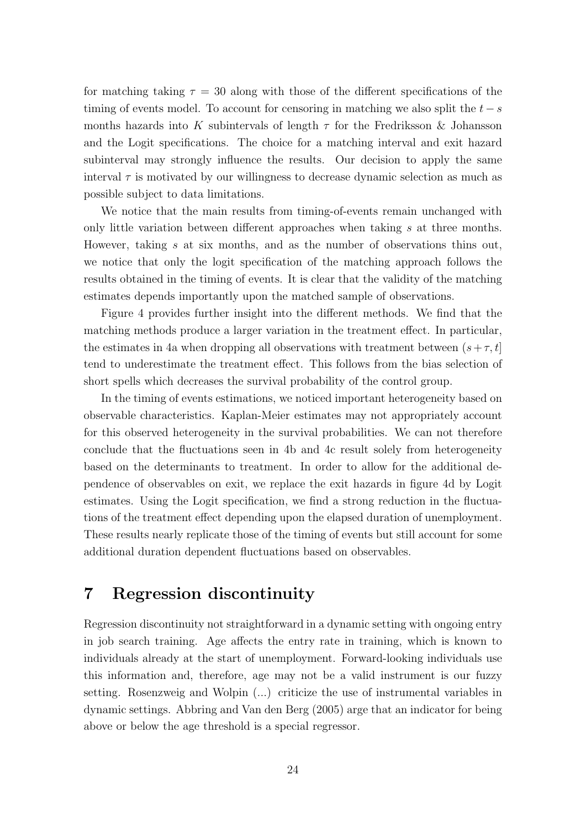for matching taking  $\tau = 30$  along with those of the different specifications of the timing of events model. To account for censoring in matching we also split the  $t - s$ months hazards into K subintervals of length  $\tau$  for the Fredriksson & Johansson and the Logit specifications. The choice for a matching interval and exit hazard subinterval may strongly influence the results. Our decision to apply the same interval  $\tau$  is motivated by our willingness to decrease dynamic selection as much as possible subject to data limitations.

We notice that the main results from timing-of-events remain unchanged with only little variation between different approaches when taking s at three months. However, taking s at six months, and as the number of observations thins out, we notice that only the logit specification of the matching approach follows the results obtained in the timing of events. It is clear that the validity of the matching estimates depends importantly upon the matched sample of observations.

Figure 4 provides further insight into the different methods. We find that the matching methods produce a larger variation in the treatment effect. In particular, the estimates in 4a when dropping all observations with treatment between  $(s+\tau, t]$ tend to underestimate the treatment effect. This follows from the bias selection of short spells which decreases the survival probability of the control group.

In the timing of events estimations, we noticed important heterogeneity based on observable characteristics. Kaplan-Meier estimates may not appropriately account for this observed heterogeneity in the survival probabilities. We can not therefore conclude that the fluctuations seen in 4b and 4c result solely from heterogeneity based on the determinants to treatment. In order to allow for the additional dependence of observables on exit, we replace the exit hazards in figure 4d by Logit estimates. Using the Logit specification, we find a strong reduction in the fluctuations of the treatment effect depending upon the elapsed duration of unemployment. These results nearly replicate those of the timing of events but still account for some additional duration dependent fluctuations based on observables.

# 7 Regression discontinuity

Regression discontinuity not straightforward in a dynamic setting with ongoing entry in job search training. Age affects the entry rate in training, which is known to individuals already at the start of unemployment. Forward-looking individuals use this information and, therefore, age may not be a valid instrument is our fuzzy setting. Rosenzweig and Wolpin (...) criticize the use of instrumental variables in dynamic settings. Abbring and Van den Berg (2005) arge that an indicator for being above or below the age threshold is a special regressor.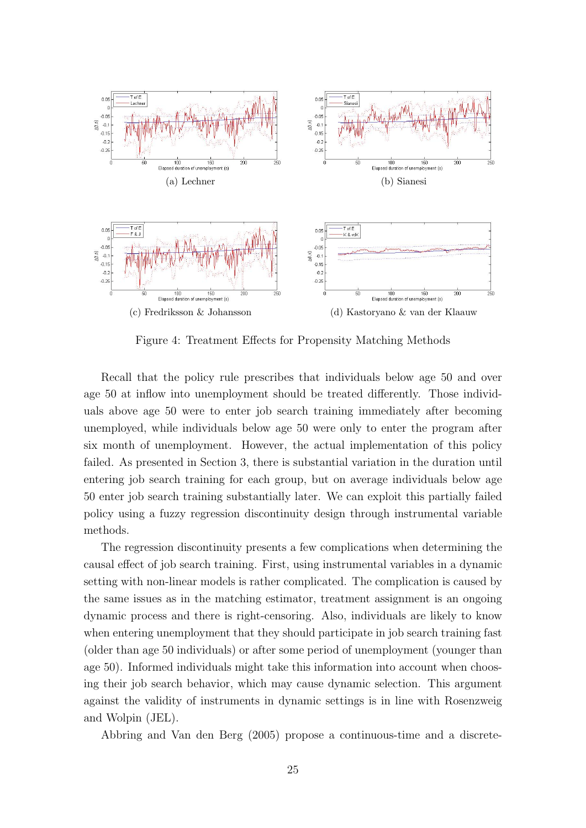

Figure 4: Treatment Effects for Propensity Matching Methods

Recall that the policy rule prescribes that individuals below age 50 and over age 50 at inflow into unemployment should be treated differently. Those individuals above age 50 were to enter job search training immediately after becoming unemployed, while individuals below age 50 were only to enter the program after six month of unemployment. However, the actual implementation of this policy failed. As presented in Section 3, there is substantial variation in the duration until entering job search training for each group, but on average individuals below age 50 enter job search training substantially later. We can exploit this partially failed policy using a fuzzy regression discontinuity design through instrumental variable methods.

The regression discontinuity presents a few complications when determining the causal effect of job search training. First, using instrumental variables in a dynamic setting with non-linear models is rather complicated. The complication is caused by the same issues as in the matching estimator, treatment assignment is an ongoing dynamic process and there is right-censoring. Also, individuals are likely to know when entering unemployment that they should participate in job search training fast (older than age 50 individuals) or after some period of unemployment (younger than age 50). Informed individuals might take this information into account when choosing their job search behavior, which may cause dynamic selection. This argument against the validity of instruments in dynamic settings is in line with Rosenzweig and Wolpin (JEL).

Abbring and Van den Berg (2005) propose a continuous-time and a discrete-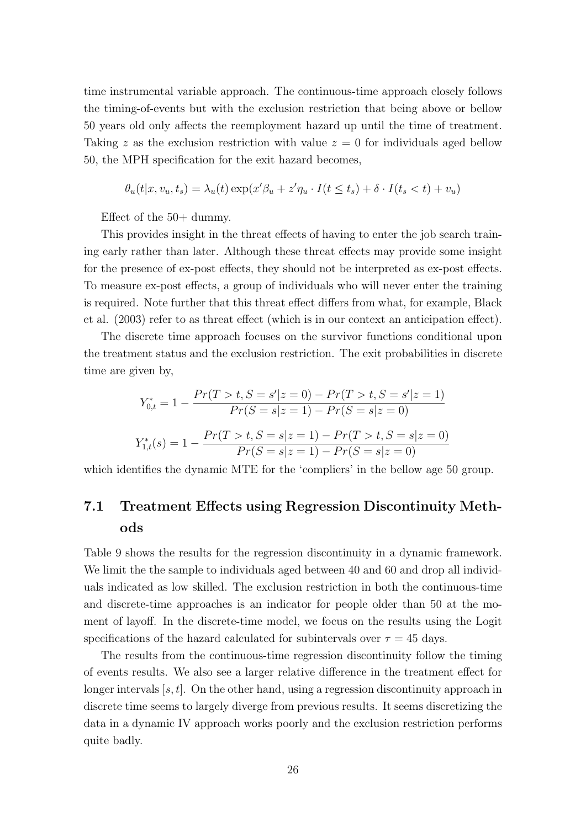time instrumental variable approach. The continuous-time approach closely follows the timing-of-events but with the exclusion restriction that being above or bellow 50 years old only affects the reemployment hazard up until the time of treatment. Taking z as the exclusion restriction with value  $z = 0$  for individuals aged bellow 50, the MPH specification for the exit hazard becomes,

$$
\theta_u(t|x, v_u, t_s) = \lambda_u(t) \exp(x'\beta_u + z'\eta_u \cdot I(t \le t_s) + \delta \cdot I(t_s < t) + v_u)
$$

Effect of the 50+ dummy.

This provides insight in the threat effects of having to enter the job search training early rather than later. Although these threat effects may provide some insight for the presence of ex-post effects, they should not be interpreted as ex-post effects. To measure ex-post effects, a group of individuals who will never enter the training is required. Note further that this threat effect differs from what, for example, Black et al. (2003) refer to as threat effect (which is in our context an anticipation effect).

The discrete time approach focuses on the survivor functions conditional upon the treatment status and the exclusion restriction. The exit probabilities in discrete time are given by,

$$
Y_{0,t}^* = 1 - \frac{Pr(T > t, S = s' | z = 0) - Pr(T > t, S = s' | z = 1)}{Pr(S = s | z = 1) - Pr(S = s | z = 0)}
$$
  

$$
Y_{1,t}^*(s) = 1 - \frac{Pr(T > t, S = s | z = 1) - Pr(T > t, S = s | z = 0)}{Pr(S = s | z = 1) - Pr(S = s | z = 0)}
$$

which identifies the dynamic MTE for the 'compliers' in the bellow age 50 group.

### 7.1 Treatment Effects using Regression Discontinuity Methods

Table 9 shows the results for the regression discontinuity in a dynamic framework. We limit the the sample to individuals aged between 40 and 60 and drop all individuals indicated as low skilled. The exclusion restriction in both the continuous-time and discrete-time approaches is an indicator for people older than 50 at the moment of layoff. In the discrete-time model, we focus on the results using the Logit specifications of the hazard calculated for subintervals over  $\tau = 45$  days.

The results from the continuous-time regression discontinuity follow the timing of events results. We also see a larger relative difference in the treatment effect for longer intervals  $[s, t]$ . On the other hand, using a regression discontinuity approach in discrete time seems to largely diverge from previous results. It seems discretizing the data in a dynamic IV approach works poorly and the exclusion restriction performs quite badly.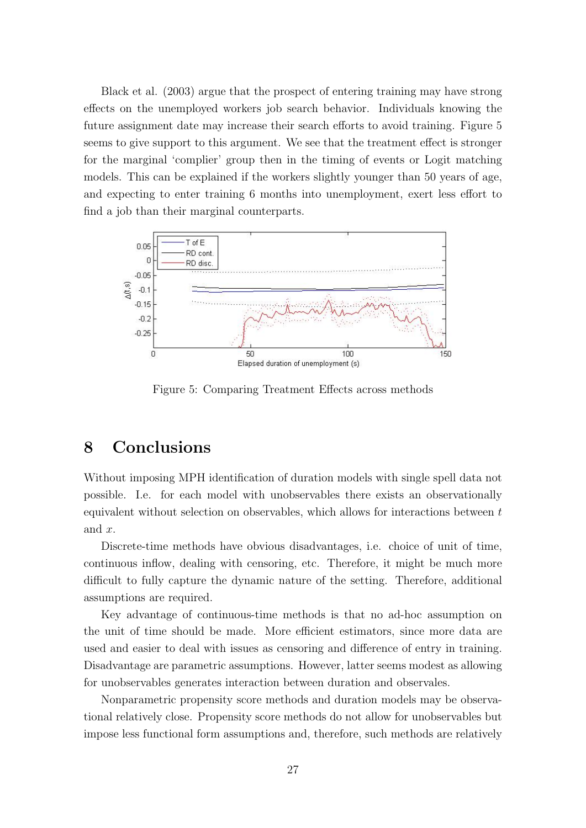Black et al. (2003) argue that the prospect of entering training may have strong effects on the unemployed workers job search behavior. Individuals knowing the future assignment date may increase their search efforts to avoid training. Figure 5 seems to give support to this argument. We see that the treatment effect is stronger for the marginal 'complier' group then in the timing of events or Logit matching models. This can be explained if the workers slightly younger than 50 years of age, and expecting to enter training 6 months into unemployment, exert less effort to find a job than their marginal counterparts.



Figure 5: Comparing Treatment Effects across methods

# 8 Conclusions

Without imposing MPH identification of duration models with single spell data not possible. I.e. for each model with unobservables there exists an observationally equivalent without selection on observables, which allows for interactions between t and x.

Discrete-time methods have obvious disadvantages, i.e. choice of unit of time, continuous inflow, dealing with censoring, etc. Therefore, it might be much more difficult to fully capture the dynamic nature of the setting. Therefore, additional assumptions are required.

Key advantage of continuous-time methods is that no ad-hoc assumption on the unit of time should be made. More efficient estimators, since more data are used and easier to deal with issues as censoring and difference of entry in training. Disadvantage are parametric assumptions. However, latter seems modest as allowing for unobservables generates interaction between duration and observales.

Nonparametric propensity score methods and duration models may be observational relatively close. Propensity score methods do not allow for unobservables but impose less functional form assumptions and, therefore, such methods are relatively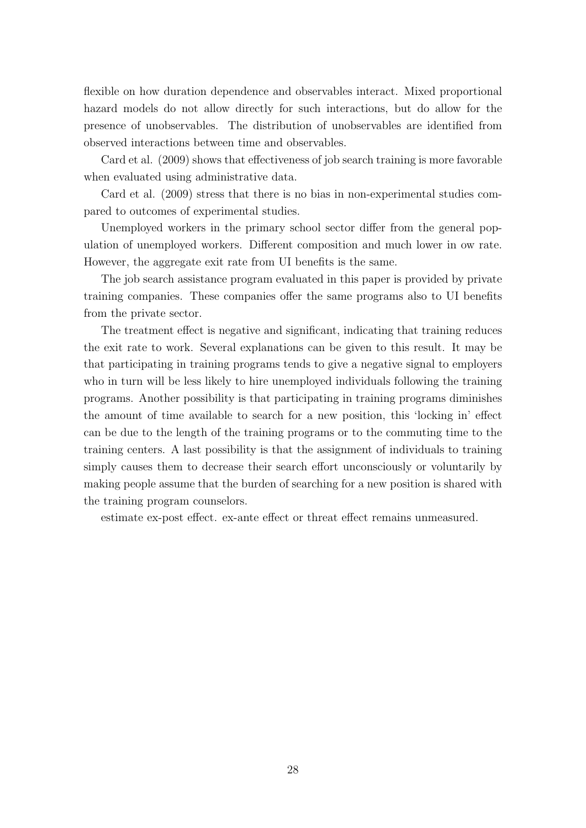flexible on how duration dependence and observables interact. Mixed proportional hazard models do not allow directly for such interactions, but do allow for the presence of unobservables. The distribution of unobservables are identified from observed interactions between time and observables.

Card et al. (2009) shows that effectiveness of job search training is more favorable when evaluated using administrative data.

Card et al. (2009) stress that there is no bias in non-experimental studies compared to outcomes of experimental studies.

Unemployed workers in the primary school sector differ from the general population of unemployed workers. Different composition and much lower in ow rate. However, the aggregate exit rate from UI benefits is the same.

The job search assistance program evaluated in this paper is provided by private training companies. These companies offer the same programs also to UI benefits from the private sector.

The treatment effect is negative and significant, indicating that training reduces the exit rate to work. Several explanations can be given to this result. It may be that participating in training programs tends to give a negative signal to employers who in turn will be less likely to hire unemployed individuals following the training programs. Another possibility is that participating in training programs diminishes the amount of time available to search for a new position, this 'locking in' effect can be due to the length of the training programs or to the commuting time to the training centers. A last possibility is that the assignment of individuals to training simply causes them to decrease their search effort unconsciously or voluntarily by making people assume that the burden of searching for a new position is shared with the training program counselors.

estimate ex-post effect. ex-ante effect or threat effect remains unmeasured.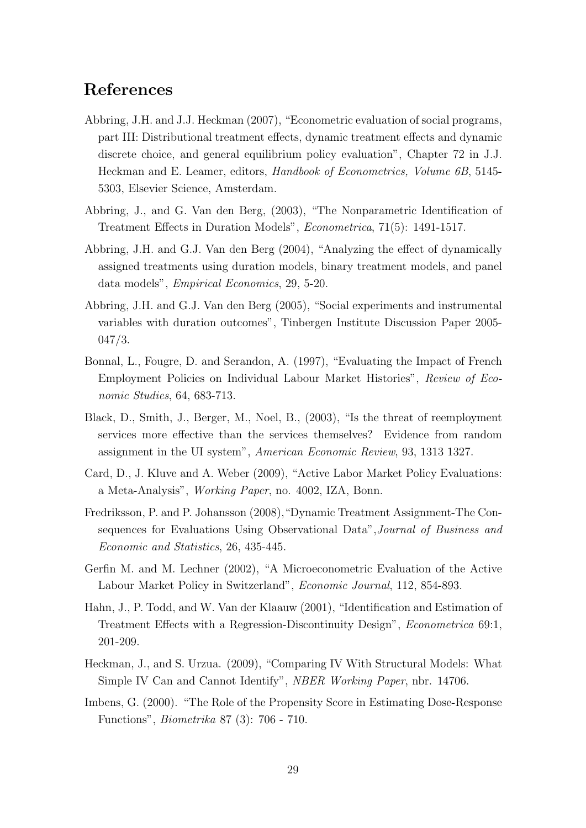## References

- Abbring, J.H. and J.J. Heckman (2007), "Econometric evaluation of social programs, part III: Distributional treatment effects, dynamic treatment effects and dynamic discrete choice, and general equilibrium policy evaluation", Chapter 72 in J.J. Heckman and E. Leamer, editors, Handbook of Econometrics, Volume 6B, 5145- 5303, Elsevier Science, Amsterdam.
- Abbring, J., and G. Van den Berg, (2003), "The Nonparametric Identification of Treatment Effects in Duration Models", Econometrica, 71(5): 1491-1517.
- Abbring, J.H. and G.J. Van den Berg (2004), "Analyzing the effect of dynamically assigned treatments using duration models, binary treatment models, and panel data models", Empirical Economics, 29, 5-20.
- Abbring, J.H. and G.J. Van den Berg (2005), "Social experiments and instrumental variables with duration outcomes", Tinbergen Institute Discussion Paper 2005- 047/3.
- Bonnal, L., Fougre, D. and Serandon, A. (1997), "Evaluating the Impact of French Employment Policies on Individual Labour Market Histories", Review of Economic Studies, 64, 683-713.
- Black, D., Smith, J., Berger, M., Noel, B., (2003), "Is the threat of reemployment services more effective than the services themselves? Evidence from random assignment in the UI system", American Economic Review, 93, 1313 1327.
- Card, D., J. Kluve and A. Weber (2009), "Active Labor Market Policy Evaluations: a Meta-Analysis", Working Paper, no. 4002, IZA, Bonn.
- Fredriksson, P. and P. Johansson (2008),"Dynamic Treatment Assignment-The Consequences for Evaluations Using Observational Data",Journal of Business and Economic and Statistics, 26, 435-445.
- Gerfin M. and M. Lechner (2002), "A Microeconometric Evaluation of the Active Labour Market Policy in Switzerland", Economic Journal, 112, 854-893.
- Hahn, J., P. Todd, and W. Van der Klaauw (2001), "Identification and Estimation of Treatment Effects with a Regression-Discontinuity Design", Econometrica 69:1, 201-209.
- Heckman, J., and S. Urzua. (2009), "Comparing IV With Structural Models: What Simple IV Can and Cannot Identify", NBER Working Paper, nbr. 14706.
- Imbens, G. (2000). "The Role of the Propensity Score in Estimating Dose-Response Functions", Biometrika 87 (3): 706 - 710.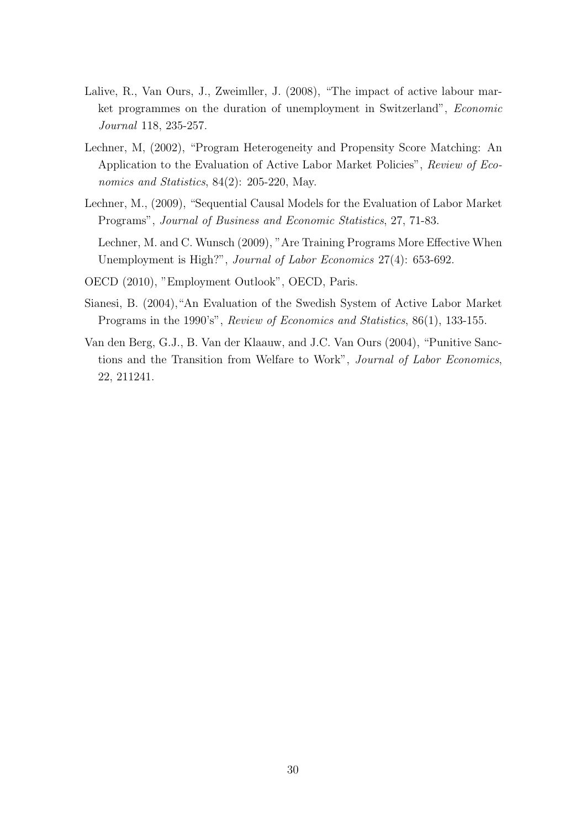- Lalive, R., Van Ours, J., Zweimller, J. (2008), "The impact of active labour market programmes on the duration of unemployment in Switzerland", Economic Journal 118, 235-257.
- Lechner, M, (2002), "Program Heterogeneity and Propensity Score Matching: An Application to the Evaluation of Active Labor Market Policies", Review of Economics and Statistics, 84(2): 205-220, May.
- Lechner, M., (2009), "Sequential Causal Models for the Evaluation of Labor Market Programs", Journal of Business and Economic Statistics, 27, 71-83.

Lechner, M. and C. Wunsch (2009), "Are Training Programs More Effective When Unemployment is High?", Journal of Labor Economics 27(4): 653-692.

- OECD (2010), "Employment Outlook", OECD, Paris.
- Sianesi, B. (2004),"An Evaluation of the Swedish System of Active Labor Market Programs in the 1990's", Review of Economics and Statistics, 86(1), 133-155.
- Van den Berg, G.J., B. Van der Klaauw, and J.C. Van Ours (2004), "Punitive Sanctions and the Transition from Welfare to Work", Journal of Labor Economics, 22, 211241.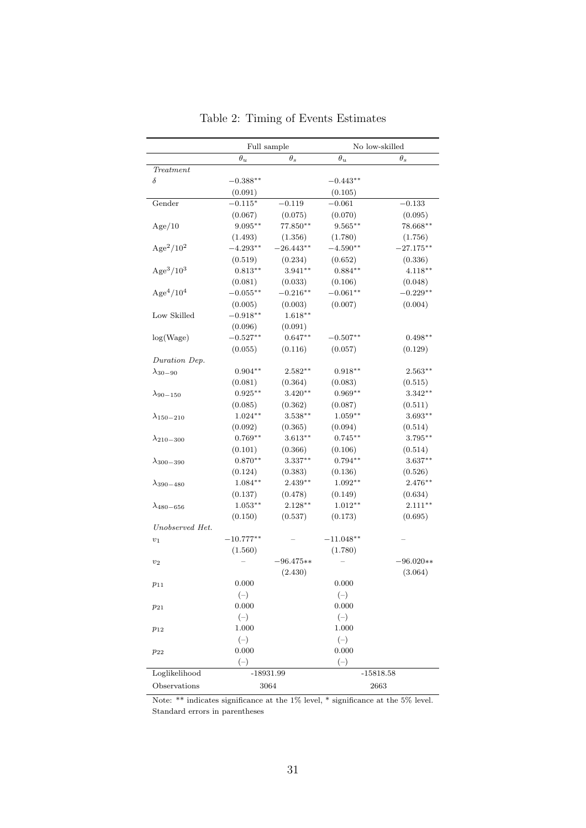|                                   |             | Full sample | No low-skilled      |             |  |
|-----------------------------------|-------------|-------------|---------------------|-------------|--|
|                                   | $\theta_u$  | $\theta_s$  | $\theta_u$          | $\theta_s$  |  |
| Treatment                         |             |             |                     |             |  |
| δ                                 | $-0.388**$  |             | $-0.443**$          |             |  |
|                                   | (0.091)     |             | (0.105)             |             |  |
| Gender                            | $-0.115*$   | $-0.119$    | $-0.061$            | $-0.133$    |  |
|                                   | (0.067)     | (0.075)     | (0.070)             | (0.095)     |  |
| Age/10                            | $9.095***$  | $77.850**$  | $9.565***$          | $78.668***$ |  |
|                                   | (1.493)     | (1.356)     | (1.780)             | (1.756)     |  |
| Age <sup>2</sup> /10 <sup>2</sup> | $-4.293**$  | $-26.443**$ | $-4.590**$          | $-27.175**$ |  |
|                                   | (0.519)     | (0.234)     | (0.652)             | (0.336)     |  |
| Age <sup>3</sup> /10 <sup>3</sup> | $0.813**$   | $3.941**$   | $0.884**$           | $4.118***$  |  |
|                                   | (0.081)     | (0.033)     | (0.106)             | (0.048)     |  |
| Age <sup>4</sup> /10 <sup>4</sup> | $-0.055**$  | $-0.216**$  | $-0.061**$          | $-0.229**$  |  |
|                                   | (0.005)     | (0.003)     | (0.007)             | (0.004)     |  |
| Low Skilled                       | $-0.918**$  | $1.618**$   |                     |             |  |
|                                   | (0.096)     | (0.091)     |                     |             |  |
| log(Wage)                         | $-0.527**$  | $0.647**$   | $-0.507^{\ast\ast}$ | $0.498**$   |  |
|                                   | (0.055)     | (0.116)     | (0.057)             | (0.129)     |  |
| Duration Dep.                     |             |             |                     |             |  |
| $\lambda_{30-90}$                 | $0.904**$   | $2.582**$   | $0.918**$           | $2.563**$   |  |
|                                   | (0.081)     | (0.364)     | (0.083)             | (0.515)     |  |
| $\lambda_{90-150}$                | $0.925**$   | $3.420**$   | $0.969**$           | $3.342**$   |  |
|                                   | (0.085)     | (0.362)     | (0.087)             | (0.511)     |  |
| $\lambda_{150-210}$               | $1.024***$  | $3.538***$  | $1.059**$           | $3.693**$   |  |
|                                   | (0.092)     | (0.365)     | (0.094)             | (0.514)     |  |
| $\lambda_{210-300}$               | $0.769**$   | $3.613**$   | $0.745**$           | 3.795**     |  |
|                                   | (0.101)     | (0.366)     | (0.106)             | (0.514)     |  |
| $\lambda_{300-390}$               | $0.870**$   | $3.337**$   | $0.794**$           | $3.637**$   |  |
|                                   | (0.124)     | (0.383)     | (0.136)             | (0.526)     |  |
| $\lambda_{390-480}$               | $1.084**$   | $2.439**$   | $1.092**$           | 2.476**     |  |
|                                   | (0.137)     | (0.478)     | (0.149)             | (0.634)     |  |
| $\lambda_{480-656}$               | $1.053**$   | $2.128**$   | $1.012**$           | $2.111**$   |  |
|                                   | (0.150)     | (0.537)     | (0.173)             | (0.695)     |  |
| Unobserved Het.                   |             |             |                     |             |  |
| $v_1$                             | $-10.777**$ |             | $-11.048**$         |             |  |
|                                   | (1.560)     |             | (1.780)             |             |  |
| $v_2$                             |             | $-96.475**$ |                     | $-96.020**$ |  |
|                                   |             | (2.430)     |                     | (3.064)     |  |
| $p_{11}$                          | 0.000       |             | 0.000               |             |  |
|                                   | $(-)$       |             | $(-)$               |             |  |
| $p_{21}$                          | 0.000       |             | 0.000               |             |  |
|                                   | $(-)$       |             | $(-)$               |             |  |
| $p_{12}$                          | 1.000       |             | 1.000               |             |  |
|                                   | $(-)$       |             | $(-)$               |             |  |
| $p_{22}$                          | 0.000       |             | 0.000               |             |  |
|                                   | $(-)$       |             | $(-)$               |             |  |
| Loglikelihood                     |             | $-18931.99$ | $-15818.58$         |             |  |
| Observations                      |             | 3064        | 2663                |             |  |

|  |  |  | Table 2: Timing of Events Estimates |
|--|--|--|-------------------------------------|
|--|--|--|-------------------------------------|

Note: \*\* indicates significance at the 1% level, \* significance at the 5% level. Standard errors in parentheses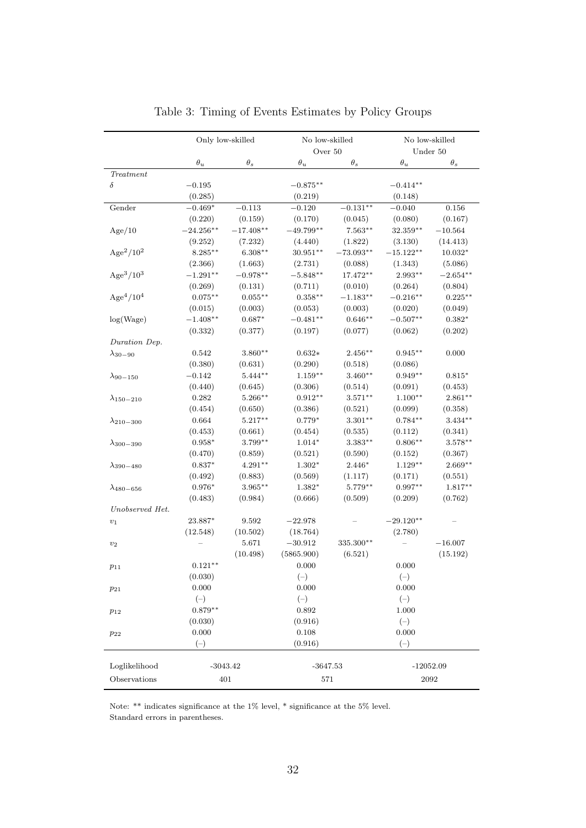|                                   | Only low-skilled   |             | No low-skilled<br>Over 50 |             |             | No low-skilled<br>Under $50\,$ |
|-----------------------------------|--------------------|-------------|---------------------------|-------------|-------------|--------------------------------|
|                                   | $\theta_u$         | $\theta_s$  | $\theta_u$                | $\theta_s$  | $\theta_u$  | $\theta_s$                     |
| $\label{eq:1} {\bf Treatment}$    |                    |             |                           |             |             |                                |
| $\delta$                          | $-0.195$           |             | $-0.875**$                |             | $-0.414**$  |                                |
|                                   | (0.285)            |             | (0.219)                   |             | (0.148)     |                                |
| Gender                            | $-0.469*$          | $-0.113$    | $-0.120$                  | $-0.131**$  | $-0.040$    | $0.156\,$                      |
|                                   | (0.220)            | (0.159)     | (0.170)                   | (0.045)     | (0.080)     | (0.167)                        |
| Age/10                            | $-24.256***$       | $-17.408**$ | $-49.799**$               | $7.563**$   | $32.359**$  | $-10.564$                      |
|                                   | (9.252)            | (7.232)     | (4.440)                   | (1.822)     | (3.130)     | (14.413)                       |
| $Age^2/10^2$                      | $8.285***$         | $6.308**$   | $30.951**$                | $-73.093**$ | $-15.122**$ | $10.032*$                      |
|                                   | (2.366)            | (1.663)     | (2.731)                   | (0.088)     | (1.343)     | (5.086)                        |
| Age <sup>3</sup> /10 <sup>3</sup> | $-1.291**$         | $-0.978**$  | $-5.848**$                | $17.472**$  | 2.993**     | $-2.654**$                     |
|                                   | (0.269)            | (0.131)     | (0.711)                   | (0.010)     | (0.264)     | (0.804)                        |
| Age <sup>4</sup> /10 <sup>4</sup> | $0.075***$         | $0.055***$  | $0.358***$                | $-1.183**$  | $-0.216**$  | $0.225***$                     |
|                                   | (0.015)            | (0.003)     | (0.053)                   | (0.003)     | (0.020)     | (0.049)                        |
| log(Wage)                         | $-1.408**$         | $0.687*$    | $-0.481**$                | $0.646**$   | $-0.507**$  | $0.382*$                       |
|                                   | (0.332)            | (0.377)     | (0.197)                   | (0.077)     | (0.062)     | (0.202)                        |
| Duration Dep.                     |                    |             |                           |             |             |                                |
| $\lambda_{30-90}$                 | 0.542              | $3.860**$   | $0.632*$                  | $2.456**$   | $0.945**$   | 0.000                          |
|                                   | (0.380)            | (0.631)     | (0.290)                   | (0.518)     | (0.086)     |                                |
| $\lambda_{90-150}$                | $-0.142$           | $5.444**$   | $1.159***$                | $3.460**$   | $0.949**$   | $0.815^{\ast}$                 |
|                                   | (0.440)            | (0.645)     | (0.306)                   | (0.514)     | (0.091)     | (0.453)                        |
| $\lambda_{150-210}$               | 0.282              | 5.266**     | $0.912**$                 | $3.571***$  | $1.100**$   | $2.861**$                      |
|                                   | (0.454)            | (0.650)     | (0.386)                   | (0.521)     | (0.099)     | (0.358)                        |
| $\lambda_{210-300}$               | 0.664              | $5.217**$   | $0.779*$                  | $3.301**$   | $0.784**$   | $3.434**$                      |
|                                   | (0.453)            | (0.661)     | (0.454)                   | (0.535)     | (0.112)     | (0.341)                        |
|                                   | $0.958*$           | $3.799**$   | $1.014*$                  | $3.383**$   | $0.806**$   | $3.578***$                     |
| $\lambda_{300-390}$               | (0.470)            | (0.859)     | (0.521)                   | (0.590)     | (0.152)     | (0.367)                        |
|                                   | $0.837*$           | $4.291**$   | $1.302*$                  | 2.446*      | $1.129**$   | $2.669**$                      |
| $\lambda_{390-480}$               | (0.492)            | (0.883)     | (0.569)                   | (1.117)     | (0.171)     | (0.551)                        |
|                                   | $0.976*$           | $3.965***$  | $1.382*$                  | $5.779**$   | $0.997**$   | $1.817**$                      |
| $\lambda_{480-656}$               |                    |             |                           |             |             |                                |
| Unobserved Het.                   | (0.483)            | (0.984)     | (0.666)                   | (0.509)     | (0.209)     | (0.762)                        |
|                                   |                    |             |                           |             |             |                                |
| $v_1$                             | 23.887*            | 9.592       | $-22.978$                 |             | $-29.120**$ |                                |
|                                   | (12.548)           | (10.502)    | (18.764)                  |             | (2.780)     | $-16.007$                      |
| $v_2$                             |                    | 5.671       | $-30.912$                 | 335.300**   |             |                                |
|                                   |                    | (10.498)    | (5865.900)                | (6.521)     |             | (15.192)                       |
| $p_{11}$                          | $0.121^{\ast\ast}$ |             | 0.000                     |             | 0.000       |                                |
|                                   | (0.030)            |             | $(-)$                     |             | $(-)$       |                                |
| $p_{21}$                          | 0.000              |             | 0.000                     |             | 0.000       |                                |
|                                   | $(-)$              |             | $(-)$                     |             | $(-)$       |                                |
| $p_{12}$                          | $0.879**$          |             | 0.892                     |             | 1.000       |                                |
|                                   | (0.030)            |             | (0.916)                   |             | $(-)$       |                                |
| $p_{22}$                          | 0.000              |             | 0.108                     |             | 0.000       |                                |
|                                   | $(-)$              |             | (0.916)                   |             | $(-)$       |                                |
|                                   |                    |             |                           |             |             |                                |
| Loglikelihood                     | $-3043.42$         |             | $-3647.53$                |             |             | $-12052.09$                    |
| Observations                      | 401                |             | 571                       |             |             | 2092                           |

Table 3: Timing of Events Estimates by Policy Groups

Note: \*\* indicates significance at the 1% level, \* significance at the 5% level. Standard errors in parentheses.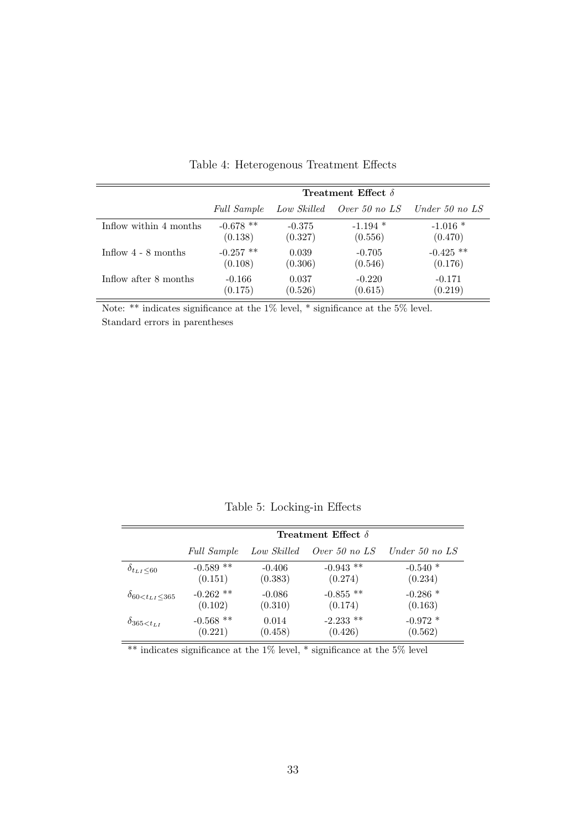|                        | Treatment Effect $\delta$ |             |               |                  |  |
|------------------------|---------------------------|-------------|---------------|------------------|--|
|                        | <i>Full Sample</i>        | Low Skilled | Over 50 no LS | Under 50 no $LS$ |  |
| Inflow within 4 months | $-0.678$ **               | $-0.375$    | $-1.194$ *    | $-1.016*$        |  |
|                        | (0.138)                   | (0.327)     | (0.556)       | (0.470)          |  |
| Inflow $4 - 8$ months  | $-0.257$ **               | 0.039       | $-0.705$      | $-0.425$ **      |  |
|                        | (0.108)                   | (0.306)     | (0.546)       | (0.176)          |  |
| Inflow after 8 months  | $-0.166$                  | 0.037       | $-0.220$      | $-0.171$         |  |
|                        | (0.175)                   | (0.526)     | (0.615)       | (0.219)          |  |

Table 4: Heterogenous Treatment Effects

Note: \*\* indicates significance at the 1% level, \* significance at the 5% level. Standard errors in parentheses

Table 5: Locking-in Effects

|                                 | <b>Treatment Effect</b> $\delta$ |             |                 |                  |  |  |
|---------------------------------|----------------------------------|-------------|-----------------|------------------|--|--|
|                                 | <b>Full Sample</b>               | Low Skilled | Over 50 no $LS$ | Under 50 no $LS$ |  |  |
| $\delta_{t_{LI}\leq 60}$        | $-0.589$ **                      | $-0.406$    | $-0.943$ **     | $-0.540*$        |  |  |
|                                 | (0.151)                          | (0.383)     | (0.274)         | (0.234)          |  |  |
| $\delta_{60 < t_{LI} \leq 365}$ | $-0.262$ **                      | $-0.086$    | $-0.855$ **     | $-0.286$ *       |  |  |
|                                 | (0.102)                          | (0.310)     | (0.174)         | (0.163)          |  |  |
| $\delta_{365 < t_{LI}}$         | $-0.568$ **                      | 0.014       | $-2.233$ **     | $-0.972*$        |  |  |
|                                 | (0.221)                          | (0.458)     | (0.426)         | (0.562)          |  |  |

\*\* indicates significance at the  $1\%$  level, \* significance at the  $5\%$  level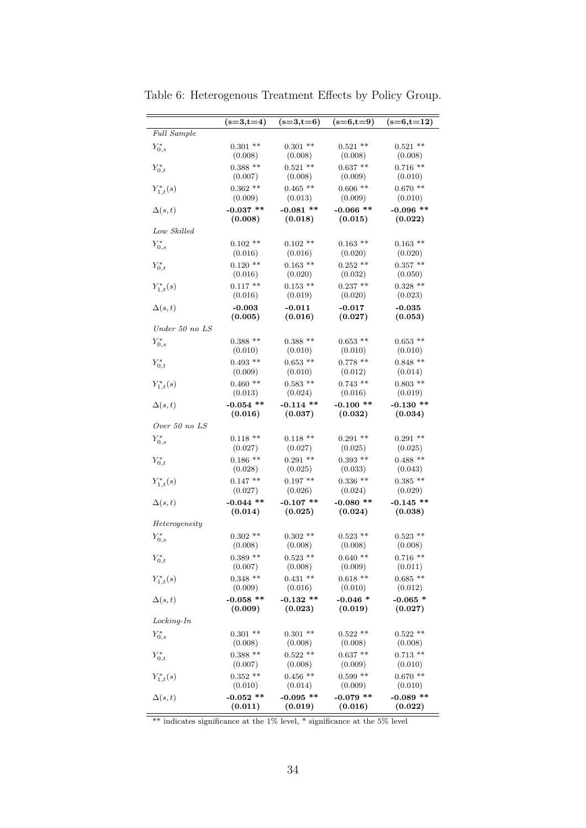|                     | $(s=3,t=4)$ | $(s=3,t=6)$ | $(s=6,t=9)$ | $(s=6,t=12)$ |
|---------------------|-------------|-------------|-------------|--------------|
| Full Sample         |             |             |             |              |
| $Y_{0,s}^*$         | $0.301$ **  | $0.301$ **  | $0.521$ **  | $0.521$ **   |
|                     | (0.008)     | (0.008)     | (0.008)     | (0.008)      |
| $Y_{0,t}^*$         | $0.388**$   | $0.521$ **  | $0.637**$   | $0.716$ **   |
|                     | (0.007)     | (0.008)     | (0.009)     | (0.010)      |
| $Y_{1,t}^*(s)$      | $0.362$ **  | $0.465$ **  | $0.606$ **  | $0.670**$    |
|                     | (0.009)     | (0.013)     | (0.009)     | (0.010)      |
| $\Delta(s,t)$       | $-0.037$ ** | $-0.081$ ** | $-0.066$ ** | $-0.096$ **  |
|                     | (0.008)     | (0.018)     | (0.015)     | (0.022)      |
| Low Skilled         |             |             |             |              |
| $Y_{0,s}^*$         | $0.102$ **  | $0.102$ **  | $0.163$ **  | $0.163$ **   |
|                     | (0.016)     | (0.016)     | (0.020)     | (0.020)      |
| $Y_{0,t}^*$         | $0.120$ **  | $0.163$ **  | $0.252$ **  | $0.357**$    |
|                     | (0.016)     | (0.020)     | (0.032)     | (0.050)      |
| $Y_{1,t}^*(s)$      | $0.117**$   | $0.153$ **  | $0.237**$   | $0.328**$    |
|                     | (0.016)     | (0.019)     | (0.020)     | (0.023)      |
| $\Delta(s,t)$       | $-0.003$    | $-0.011$    | $-0.017$    | $-0.035$     |
|                     | (0.005)     | (0.016)     | (0.027)     | (0.053)      |
| $Under\ 50\ no\ LS$ |             |             |             |              |
| $Y_{0,s}^*$         | $0.388**$   | $0.388**$   | $0.653$ **  | $0.653**$    |
|                     | (0.010)     | (0.010)     | (0.010)     | (0.010)      |
| $Y_{0,t}^*$         | $0.493$ **  | $0.653$ **  | $0.778$ **  | $0.848**$    |
|                     | (0.009)     | (0.010)     | (0.012)     | (0.014)      |
| $Y_{1,t}^*(s)$      | $0.460**$   | $0.583$ **  | $0.743$ **  | $0.803$ **   |
|                     | (0.013)     | (0.024)     | (0.016)     | (0.019)      |
| $\Delta(s,t)$       | $-0.054$ ** | $-0.114$ ** | $-0.100$ ** | $-0.130$ **  |
|                     | (0.016)     | (0.037)     | (0.032)     | (0.034)      |
| Over 50 no LS       |             |             |             |              |
| $Y_{0,s}^*$         | $0.118**$   | $0.118**$   | $0.291$ **  | $0.291$ **   |
|                     | (0.027)     | (0.027)     | (0.025)     | (0.025)      |
| $Y_{0,t}^*$         | $0.186$ **  | $0.291$ **  | $0.393$ **  | $0.488**$    |
|                     | (0.028)     | (0.025)     | (0.033)     | (0.043)      |
| $Y_{1,t}^*(s)$      | $0.147**$   | $0.197**$   | $0.336$ **  | $0.385**$    |
|                     | (0.027)     | (0.026)     | (0.024)     | (0.029)      |
| $\Delta(s,t)$       | $-0.044$ ** | $-0.107$ ** | $-0.080**$  | $-0.145$ **  |
|                     | (0.014)     | (0.025)     | (0.024)     | (0.038)      |
| Heterogeneity       |             |             |             |              |
| $Y_{0,s}^*$         | $0.302$ **  | $0.302$ **  | $0.523$ **  | $0.523**$    |
|                     | (0.008)     | (0.008)     | (0.008)     | (0.008)      |
| $Y_{0,t}^*$         | $0.389**$   | $0.523$ **  | $0.640**$   | $0.716**$    |
|                     | (0.007)     | (0.008)     | (0.009)     | (0.011)      |
| $Y_{1,t}^*(s)$      | $0.348**$   | $0.431**$   | $0.618**$   | $0.685**$    |
|                     | (0.009)     | (0.016)     | (0.010)     | (0.012)      |
| $\Delta(s,t)$       | $-0.058$ ** | $-0.132$ ** | $-0.046*$   | $-0.065*$    |
|                     | (0.009)     | (0.023)     | (0.019)     | (0.027)      |
| $Locking-In$        |             |             |             |              |
| $Y_{0,s}^*$         | $0.301$ **  | $0.301$ **  | $0.522$ **  | $0.522**$    |
|                     | (0.008)     | (0.008)     | (0.008)     | (0.008)      |
| $Y_{0,t}^*$         | $0.388**$   | $0.522**$   | $0.637**$   | $0.713**$    |
|                     | (0.007)     | (0.008)     | (0.009)     | (0.010)      |
| $Y_{1,t}^*(s)$      | $0.352**$   | $0.456$ **  | $0.599**$   | $0.670**$    |
|                     | (0.010)     | (0.014)     | (0.009)     | (0.010)      |
| $\Delta(s,t)$       | $-0.052$ ** | $-0.095$ ** | $-0.079$ ** | $-0.089$ **  |
|                     | (0.011)     | (0.019)     | (0.016)     | (0.022)      |

Table 6: Heterogenous Treatment Effects by Policy Group.

\*\* indicates significance at the 1% level, \* significance at the 5% level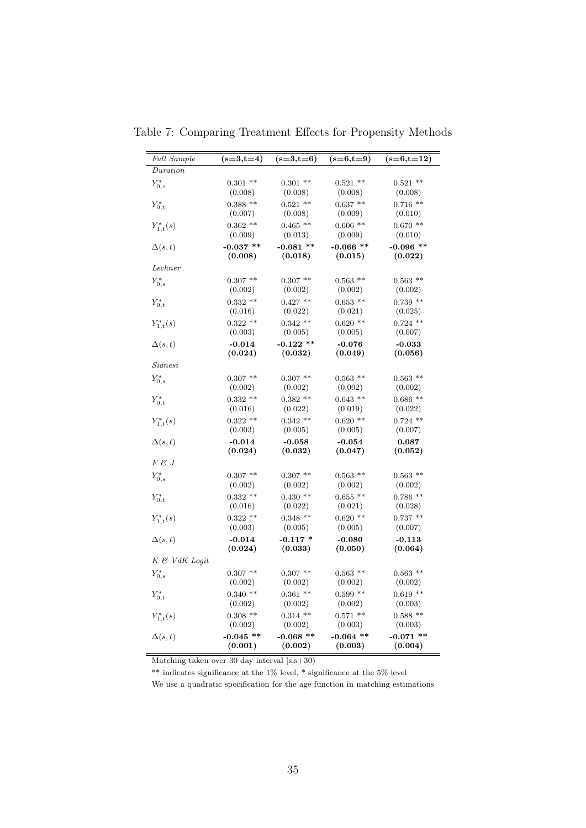| <i>Full Sample</i>  | $(s=3,t=4)$                       | $(s=3,t=6)$            | $(s=6,t=9)$            | $(s=6,t=12)$           |
|---------------------|-----------------------------------|------------------------|------------------------|------------------------|
| $\textit{Duration}$ |                                   |                        |                        |                        |
| $Y_{0,s}^*$         | $0.301$ **                        | $0.301**$              | $0.521$ **             | $0.521$ **             |
|                     | (0.008)                           | (0.008)                | (0.008)                | (0.008)                |
| $Y_{0,t}^*$         | $0.388**$                         | $0.521$ **             | $0.637**$              | $0.716**$              |
|                     | (0.007)                           | (0.008)                | (0.009)                | (0.010)                |
| $Y_{1,t}^*(s)$      | $0.362**$                         | $0.465$ **             | $0.606$ **             | $0.670**$              |
|                     | (0.009)<br>$-0.037$ **            | (0.013)<br>$-0.081$ ** | (0.009)<br>$-0.066$ ** | (0.010)<br>$-0.096$ ** |
| $\Delta(s,t)$       | (0.008)                           | (0.018)                | (0.015)                | (0.022)                |
| Lechner             |                                   |                        |                        |                        |
|                     | $0.307$ **                        | $0.307**$              | $0.563$ **             | $0.563$ **             |
| $Y_{0,s}^*$         | (0.002)                           | (0.002)                | (0.002)                | (0.002)                |
| $Y_{0,t}^*$         | $0.332**$                         | $0.427**$              | $0.653$ **             | $0.739$ **             |
|                     | (0.016)                           | (0.022)                | (0.021)                | (0.025)                |
| $Y_{1,t}^*(s)$      | $0.322**$                         | $0.342**$              | $0.620$ **             | $0.724$ **             |
|                     | (0.003)                           | (0.005)                | (0.005)                | (0.007)                |
| $\Delta(s,t)$       | $-0.014$                          | $-0.122$ **            | $-0.076$               | $-0.033$               |
|                     | (0.024)                           | (0.032)                | (0.049)                | (0.056)                |
| Sianesi             |                                   |                        |                        |                        |
| $Y_{0,s}^*$         | $0.307**$                         | $0.307**$              | $0.563$ **             | $0.563$ **             |
|                     | (0.002)                           | (0.002)                | (0.002)                | (0.002)                |
| $Y_{0,t}^*$         | $0.332**$                         | $0.382**$              | $0.643$ **             | $0.686**$              |
|                     | (0.016)                           | (0.022)                | (0.019)                | (0.022)                |
| $Y_{1,t}^*(s)$      | $0.322**$                         | $0.342**$              | $0.620$ **             | $0.724$ **             |
|                     | (0.003)                           | (0.005)                | (0.005)                | (0.007)                |
| $\Delta(s,t)$       | $-0.014$<br>(0.024)               | $-0.058$<br>(0.032)    | $-0.054$<br>(0.047)    | 0.087<br>(0.052)       |
| $F \mathcal{B} J$   |                                   |                        |                        |                        |
|                     | $0.307$ **                        | $0.307**$              | $0.563$ **             | $0.563$ **             |
| $Y_{0,s}^*$         | (0.002)                           | (0.002)                | (0.002)                | (0.002)                |
| $Y_{0,t}^*$         | $0.332**$                         | $0.430**$              | $0.655**$              | $0.786**$              |
|                     | (0.016)                           | (0.022)                | (0.021)                | (0.028)                |
| $Y_{1,t}^*(s)$      | $0.322**$                         | $0.348**$              | $0.620$ **             | $0.737**$              |
|                     | (0.003)                           | (0.005)                | (0.005)                | (0.007)                |
| $\Delta(s,t)$       | $-0.014$<br>$\left( 0.024\right)$ | $-0.117*$<br>(0.033)   | $-0.080$<br>(0.050)    | $-0.113$<br>(0.064)    |
| K & VdK Logit       |                                   |                        |                        |                        |
|                     | $0.307$ **                        | $0.307**$              | $0.563$ **             | $0.563$ **             |
| $Y_{0,s}^*$         | (0.002)                           | (0.002)                | (0.002)                | (0.002)                |
| $Y_{0,t}^*$         | $0.340**$                         | $0.361$ **             | $0.599**$              | $0.619**$              |
|                     | (0.002)                           | (0.002)                | (0.002)                | (0.003)                |
| $Y_{1,t}^*(s)$      | $0.308$ **                        | $0.314$ **             | $0.571$ **             | $0.588**$              |
|                     | (0.002)                           | (0.002)                | (0.003)                | (0.003)                |
| $\Delta(s,t)$       | $-0.045$ **                       | $-0.068$ **            | $-0.064$ **            | $-0.071$ **            |
|                     | (0.001)                           | (0.002)                | (0.003)                | (0.004)                |

Table 7: Comparing Treatment Effects for Propensity Methods

 $\begin{tabular}{l} \hline \hline \textbf{Matching taken over 30 day interval [s,s+30)}\\ \hline \end{tabular}$ 

\*\* indicates significance at the  $1\%$  level, \* significance at the 5% level

We use a quadratic specification for the age function in matching estimations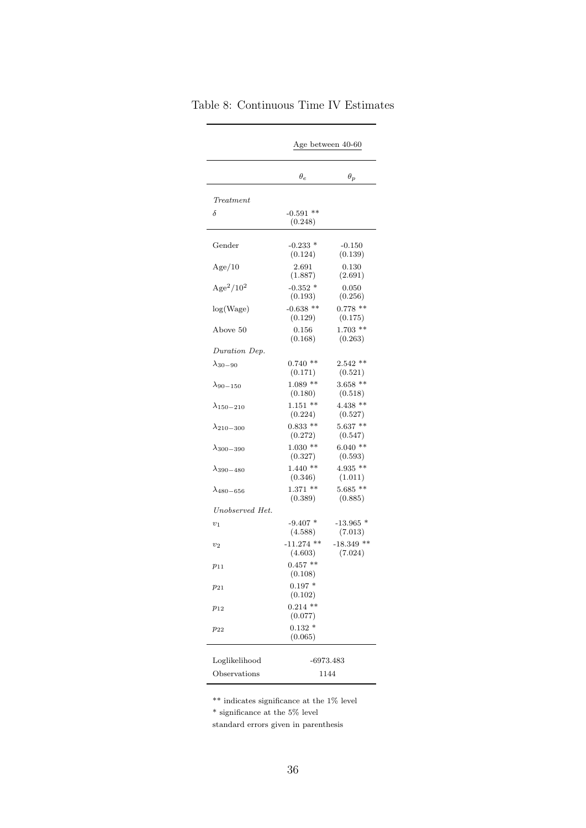|                     | Age between 40-60       |                         |  |  |
|---------------------|-------------------------|-------------------------|--|--|
|                     | $\theta_e$              | $\theta_p$              |  |  |
| Treatment           |                         |                         |  |  |
| δ                   | $-0.591$ **<br>(0.248)  |                         |  |  |
| Gender              | $-0.233$ *<br>(0.124)   | $-0.150$<br>(0.139)     |  |  |
| Age/10              | 2.691<br>(1.887)        | 0.130<br>(2.691)        |  |  |
| $\rm{Age}^2/10^2$   | $-0.352$ *<br>(0.193)   | 0.050<br>(0.256)        |  |  |
| log(Wage)           | $-0.638$ **<br>(0.129)  | $0.778$ **<br>(0.175)   |  |  |
| Above 50            | 0.156<br>(0.168)        | $1.703$ **<br>(0.263)   |  |  |
| Duration Dep.       |                         |                         |  |  |
| $\lambda_{30-90}$   | $0.740**$<br>(0.171)    | $2.542**$<br>(0.521)    |  |  |
| $\lambda_{90-150}$  | $1.089**$<br>(0.180)    | $3.658$ **<br>(0.518)   |  |  |
| $\lambda_{150-210}$ | $1.151$ **<br>(0.224)   | $4.438$ **<br>(0.527)   |  |  |
| $\lambda_{210-300}$ | $0.833$ **<br>(0.272)   | $5.637**$<br>(0.547)    |  |  |
| $\lambda_{300-390}$ | $1.030**$<br>(0.327)    | $6.040**$<br>(0.593)    |  |  |
| $\lambda_{390-480}$ | $1.440**$<br>(0.346)    | $4.935**$<br>(1.011)    |  |  |
| $\lambda_{480-656}$ | $1.371$ **<br>(0.389)   | $5.685**$<br>(0.885)    |  |  |
| Unobserved Het.     |                         |                         |  |  |
| $v_1$               | $-9.407$ *<br>(4.588)   | $-13.965$ *<br>(7.013)  |  |  |
| $v_2$               | $-11.274$ **<br>(4.603) | $-18.349$ **<br>(7.024) |  |  |
| $p_{11}$            | $0.457**$<br>(0.108)    |                         |  |  |
| $p_{21}$            | $0.197*$<br>(0.102)     |                         |  |  |
| $p_{12}$            | $0.214$ **<br>(0.077)   |                         |  |  |
| $p_{22}$            | $0.132*$<br>(0.065)     |                         |  |  |
|                     |                         |                         |  |  |
| Loglikelihood       |                         | -6973.483               |  |  |
| Observations        | 1144                    |                         |  |  |

| Table 8: Continuous Time IV Estimates |  |
|---------------------------------------|--|
|                                       |  |

 $^{**}$  indicates significance at the  $1\%$  level

 $^\ast$  significance at the 5% level

standard errors given in parenthesis